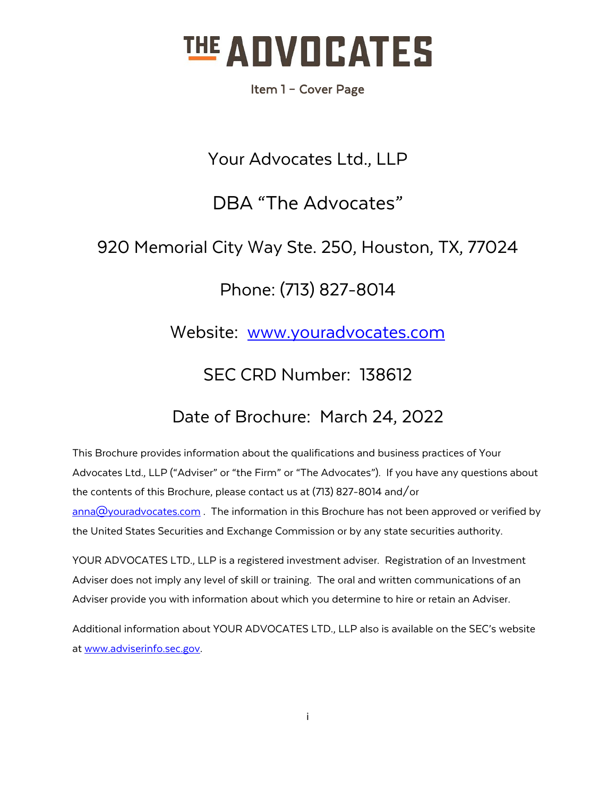### Item 1 – Cover Page

### <span id="page-0-0"></span>Your Advocates Ltd., LLP

### DBA "The Advocates"

### 920 Memorial City Way Ste. 250, Houston, TX, 77024

### Phone: (713) 827-8014

Website: [www.youradvocates.com](http://www.youradvocates.com/)

### SEC CRD Number: 138612

### Date of Brochure: March 24, 2022

This Brochure provides information about the qualifications and business practices of Your Advocates Ltd., LLP ("Adviser" or "the Firm" or "The Advocates"). If you have any questions about the contents of this Brochure, please contact us at (713) 827-8014 and/or  $anna@youradvocates.com$ . The information in this Brochure has not been approved or verified by the United States Securities and Exchange Commission or by any state securities authority.

YOUR ADVOCATES LTD., LLP is a registered investment adviser. Registration of an Investment Adviser does not imply any level of skill or training. The oral and written communications of an Adviser provide you with information about which you determine to hire or retain an Adviser.

Additional information about YOUR ADVOCATES LTD., LLP also is available on the SEC's website at [www.adviserinfo.sec.gov.](http://www.adviserinfo.sec.gov/)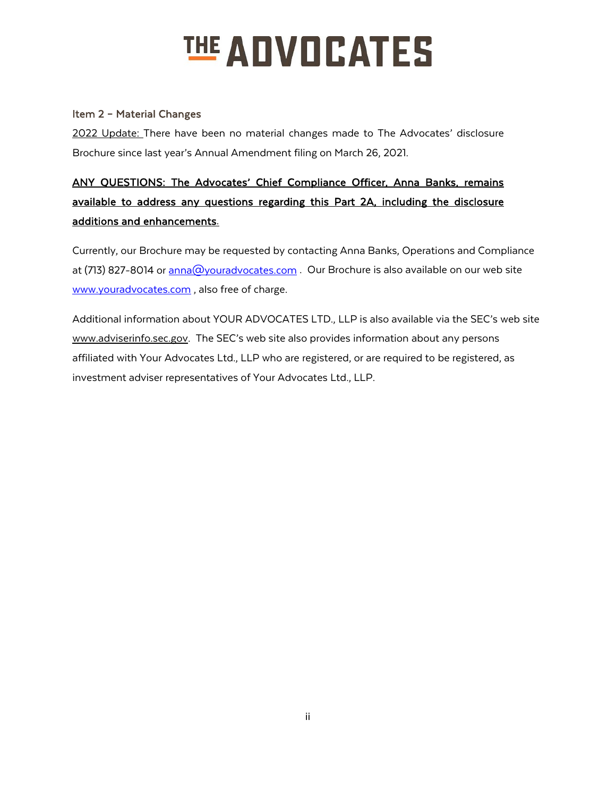### <span id="page-1-0"></span>Item 2 – Material Changes

2022 Update: There have been no material changes made to The Advocates' disclosure Brochure since last year's Annual Amendment filing on March 26, 2021.

### ANY QUESTIONS: The Advocates' Chief Compliance Officer, Anna Banks, remains available to address any questions regarding this Part 2A, including the disclosure additions and enhancements.

Currently, our Brochure may be requested by contacting Anna Banks, Operations and Compliance at (713) 827-8014 or [anna@youradvocates.com](mailto:anna@cypressadvisory.com) . Our Brochure is also available on our web site [www.youradvocates.com](http://www.youradvocates.com/), also free of charge.

Additional information about YOUR ADVOCATES LTD., LLP is also available via the SEC's web site [www.adviserinfo.sec.gov.](http://www.adviserinfo.sec.gov/) The SEC's web site also provides information about any persons affiliated with Your Advocates Ltd., LLP who are registered, or are required to be registered, as investment adviser representatives of Your Advocates Ltd., LLP.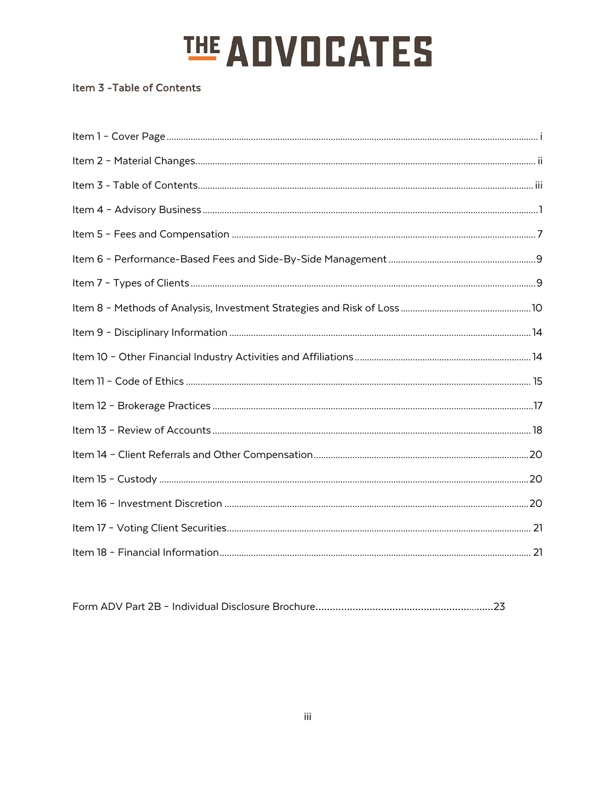### <span id="page-2-0"></span>Item 3 - Table of Contents

|--|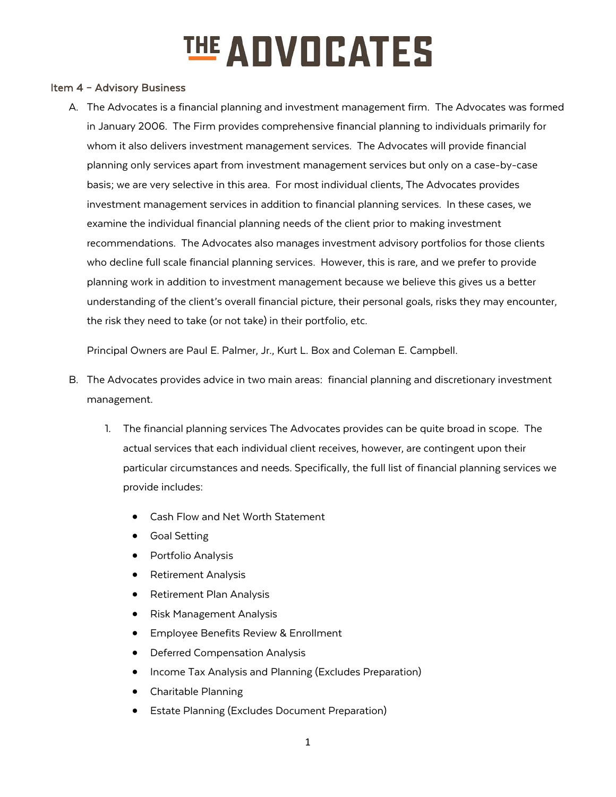#### <span id="page-3-0"></span>Item 4 – Advisory Business

A. The Advocates is a financial planning and investment management firm. The Advocates was formed in January 2006. The Firm provides comprehensive financial planning to individuals primarily for whom it also delivers investment management services. The Advocates will provide financial planning only services apart from investment management services but only on a case-by-case basis; we are very selective in this area. For most individual clients, The Advocates provides investment management services in addition to financial planning services. In these cases, we examine the individual financial planning needs of the client prior to making investment recommendations. The Advocates also manages investment advisory portfolios for those clients who decline full scale financial planning services. However, this is rare, and we prefer to provide planning work in addition to investment management because we believe this gives us a better understanding of the client's overall financial picture, their personal goals, risks they may encounter, the risk they need to take (or not take) in their portfolio, etc.

Principal Owners are Paul E. Palmer, Jr., Kurt L. Box and Coleman E. Campbell.

- B. The Advocates provides advice in two main areas: financial planning and discretionary investment management.
	- 1. The financial planning services The Advocates provides can be quite broad in scope. The actual services that each individual client receives, however, are contingent upon their particular circumstances and needs. Specifically, the full list of financial planning services we provide includes:
		- Cash Flow and Net Worth Statement
		- Goal Setting
		- Portfolio Analysis
		- Retirement Analysis
		- Retirement Plan Analysis
		- Risk Management Analysis
		- Employee Benefits Review & Enrollment
		- Deferred Compensation Analysis
		- Income Tax Analysis and Planning (Excludes Preparation)
		- Charitable Planning
		- Estate Planning (Excludes Document Preparation)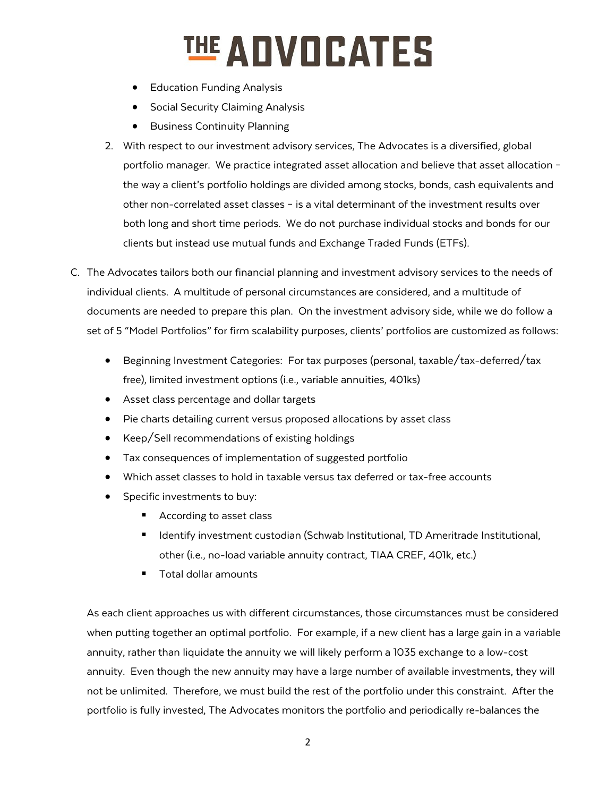- Education Funding Analysis
- Social Security Claiming Analysis
- Business Continuity Planning
- 2. With respect to our investment advisory services, The Advocates is a diversified, global portfolio manager. We practice integrated asset allocation and believe that asset allocation – the way a client's portfolio holdings are divided among stocks, bonds, cash equivalents and other non-correlated asset classes – is a vital determinant of the investment results over both long and short time periods. We do not purchase individual stocks and bonds for our clients but instead use mutual funds and Exchange Traded Funds (ETFs).
- C. The Advocates tailors both our financial planning and investment advisory services to the needs of individual clients. A multitude of personal circumstances are considered, and a multitude of documents are needed to prepare this plan. On the investment advisory side, while we do follow a set of 5 "Model Portfolios" for firm scalability purposes, clients' portfolios are customized as follows:
	- Beginning Investment Categories: For tax purposes (personal, taxable/tax-deferred/tax free), limited investment options (i.e., variable annuities, 401ks)
	- Asset class percentage and dollar targets
	- Pie charts detailing current versus proposed allocations by asset class
	- Keep/Sell recommendations of existing holdings
	- Tax consequences of implementation of suggested portfolio
	- Which asset classes to hold in taxable versus tax deferred or tax-free accounts
	- Specific investments to buy:
		- According to asset class
		- **If aldentify investment custodian (Schwab Institutional, TD Ameritrade Institutional,** other (i.e., no-load variable annuity contract, TIAA CREF, 401k, etc.)
		- **Total dollar amounts**

As each client approaches us with different circumstances, those circumstances must be considered when putting together an optimal portfolio. For example, if a new client has a large gain in a variable annuity, rather than liquidate the annuity we will likely perform a 1035 exchange to a low-cost annuity. Even though the new annuity may have a large number of available investments, they will not be unlimited. Therefore, we must build the rest of the portfolio under this constraint. After the portfolio is fully invested, The Advocates monitors the portfolio and periodically re-balances the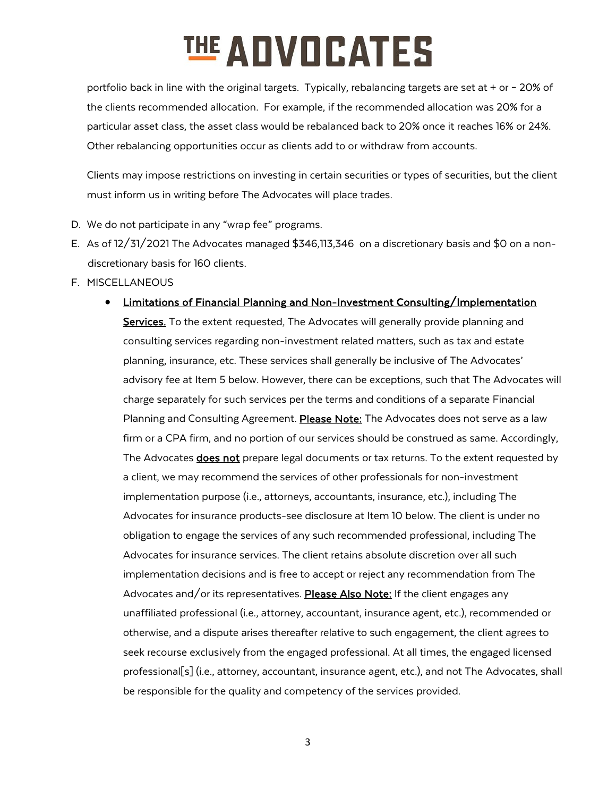portfolio back in line with the original targets. Typically, rebalancing targets are set at + or – 20% of the clients recommended allocation. For example, if the recommended allocation was 20% for a particular asset class, the asset class would be rebalanced back to 20% once it reaches 16% or 24%. Other rebalancing opportunities occur as clients add to or withdraw from accounts.

Clients may impose restrictions on investing in certain securities or types of securities, but the client must inform us in writing before The Advocates will place trades.

- D. We do not participate in any "wrap fee" programs.
- E. As of 12/31/2021 The Advocates managed \$346,113,346 on a discretionary basis and \$0 on a nondiscretionary basis for 160 clients.
- F. MISCELLANEOUS
	- Limitations of Financial Planning and Non-Investment Consulting/Implementation Services. To the extent requested, The Advocates will generally provide planning and consulting services regarding non-investment related matters, such as tax and estate planning, insurance, etc. These services shall generally be inclusive of The Advocates' advisory fee at Item 5 below. However, there can be exceptions, such that The Advocates will charge separately for such services per the terms and conditions of a separate Financial Planning and Consulting Agreement. **Please Note:** The Advocates does not serve as a law firm or a CPA firm, and no portion of our services should be construed as same. Accordingly, The Advocates **does not** prepare legal documents or tax returns. To the extent requested by a client, we may recommend the services of other professionals for non-investment implementation purpose (i.e., attorneys, accountants, insurance, etc.), including The Advocates for insurance products-see disclosure at Item 10 below. The client is under no obligation to engage the services of any such recommended professional, including The Advocates for insurance services. The client retains absolute discretion over all such implementation decisions and is free to accept or reject any recommendation from The Advocates and/or its representatives. **Please Also Note:** If the client engages any unaffiliated professional (i.e., attorney, accountant, insurance agent, etc.), recommended or otherwise, and a dispute arises thereafter relative to such engagement, the client agrees to seek recourse exclusively from the engaged professional. At all times, the engaged licensed professional[s] (i.e., attorney, accountant, insurance agent, etc.), and not The Advocates, shall be responsible for the quality and competency of the services provided.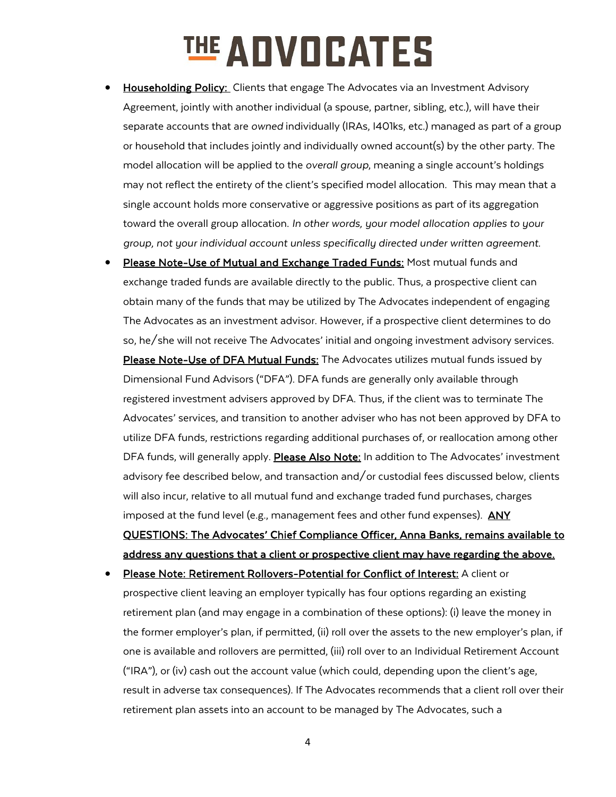- **Householding Policy:** Clients that engage The Advocates via an Investment Advisory Agreement, jointly with another individual (a spouse, partner, sibling, etc.), will have their separate accounts that are *owned* individually (IRAs, I401ks, etc.) managed as part of a group or household that includes jointly and individually owned account(s) by the other party. The model allocation will be applied to the *overall group*, meaning a single account's holdings may not reflect the entirety of the client's specified model allocation. This may mean that a single account holds more conservative or aggressive positions as part of its aggregation toward the overall group allocation. *In other words, your model allocation applies to your group, not your individual account unless specifically directed under written agreement.*
- Please Note-Use of Mutual and Exchange Traded Funds: Most mutual funds and exchange traded funds are available directly to the public. Thus, a prospective client can obtain many of the funds that may be utilized by The Advocates independent of engaging The Advocates as an investment advisor. However, if a prospective client determines to do so, he/she will not receive The Advocates' initial and ongoing investment advisory services. Please Note-Use of DFA Mutual Funds: The Advocates utilizes mutual funds issued by Dimensional Fund Advisors ("DFA"). DFA funds are generally only available through registered investment advisers approved by DFA. Thus, if the client was to terminate The Advocates' services, and transition to another adviser who has not been approved by DFA to utilize DFA funds, restrictions regarding additional purchases of, or reallocation among other DFA funds, will generally apply. Please Also Note: In addition to The Advocates' investment advisory fee described below, and transaction and/or custodial fees discussed below, clients will also incur, relative to all mutual fund and exchange traded fund purchases, charges imposed at the fund level (e.g., management fees and other fund expenses).  $\overrightarrow{ANY}$ QUESTIONS: The Advocates' Chief Compliance Officer, Anna Banks, remains available to address any questions that a client or prospective client may have regarding the above.
- Please Note: Retirement Rollovers-Potential for Conflict of Interest: A client or prospective client leaving an employer typically has four options regarding an existing retirement plan (and may engage in a combination of these options): (i) leave the money in the former employer's plan, if permitted, (ii) roll over the assets to the new employer's plan, if one is available and rollovers are permitted, (iii) roll over to an Individual Retirement Account ("IRA"), or (iv) cash out the account value (which could, depending upon the client's age, result in adverse tax consequences). If The Advocates recommends that a client roll over their retirement plan assets into an account to be managed by The Advocates, such a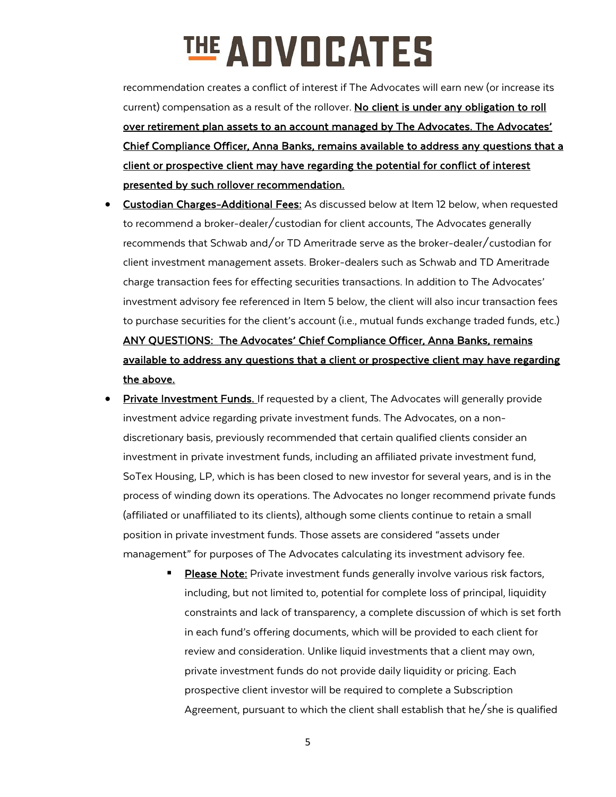recommendation creates a conflict of interest if The Advocates will earn new (or increase its current) compensation as a result of the rollover. No client is under any obligation to roll over retirement plan assets to an account managed by The Advocates. The Advocates' Chief Compliance Officer, Anna Banks, remains available to address any questions that a client or prospective client may have regarding the potential for conflict of interest presented by such rollover recommendation.

- Custodian Charges-Additional Fees: As discussed below at Item 12 below, when requested to recommend a broker-dealer/custodian for client accounts, The Advocates generally recommends that Schwab and/or TD Ameritrade serve as the broker-dealer/custodian for client investment management assets. Broker-dealers such as Schwab and TD Ameritrade charge transaction fees for effecting securities transactions. In addition to The Advocates' investment advisory fee referenced in Item 5 below, the client will also incur transaction fees to purchase securities for the client's account (i.e., mutual funds exchange traded funds, etc.) ANY QUESTIONS: The Advocates' Chief Compliance Officer, Anna Banks, remains available to address any questions that a client or prospective client may have regarding the above.
- **Private Investment Funds.** If requested by a client, The Advocates will generally provide investment advice regarding private investment funds. The Advocates, on a nondiscretionary basis, previously recommended that certain qualified clients consider an investment in private investment funds, including an affiliated private investment fund, SoTex Housing, LP, which is has been closed to new investor for several years, and is in the process of winding down its operations. The Advocates no longer recommend private funds (affiliated or unaffiliated to its clients), although some clients continue to retain a small position in private investment funds. Those assets are considered "assets under management" for purposes of The Advocates calculating its investment advisory fee.
	- **Please Note:** Private investment funds generally involve various risk factors, including, but not limited to, potential for complete loss of principal, liquidity constraints and lack of transparency, a complete discussion of which is set forth in each fund's offering documents, which will be provided to each client for review and consideration. Unlike liquid investments that a client may own, private investment funds do not provide daily liquidity or pricing. Each prospective client investor will be required to complete a Subscription Agreement, pursuant to which the client shall establish that he/she is qualified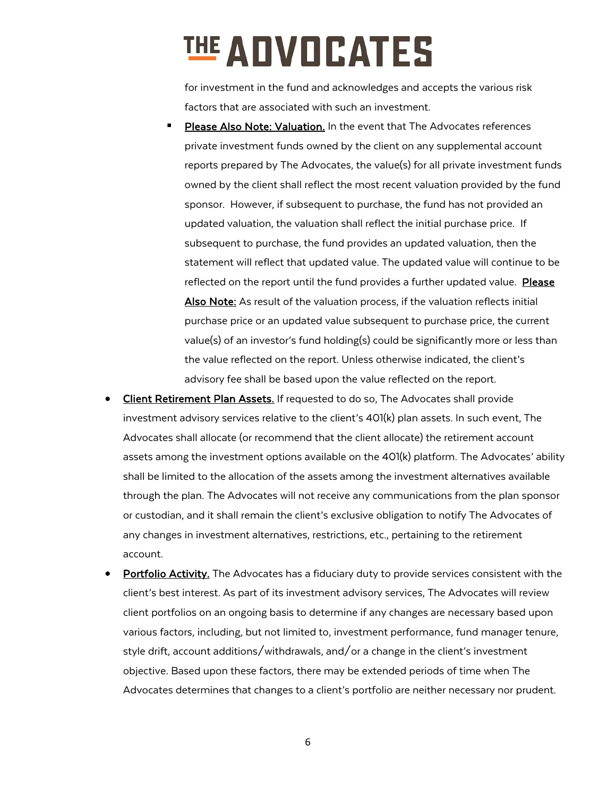for investment in the fund and acknowledges and accepts the various risk factors that are associated with such an investment.

- Please Also Note: Valuation. In the event that The Advocates references private investment funds owned by the client on any supplemental account reports prepared by The Advocates, the value(s) for all private investment funds owned by the client shall reflect the most recent valuation provided by the fund sponsor. However, if subsequent to purchase, the fund has not provided an updated valuation, the valuation shall reflect the initial purchase price. If subsequent to purchase, the fund provides an updated valuation, then the statement will reflect that updated value. The updated value will continue to be reflected on the report until the fund provides a further updated value. Please Also Note: As result of the valuation process, if the valuation reflects initial purchase price or an updated value subsequent to purchase price, the current value(s) of an investor's fund holding(s) could be significantly more or less than the value reflected on the report. Unless otherwise indicated, the client's advisory fee shall be based upon the value reflected on the report.
- Client Retirement Plan Assets. If requested to do so, The Advocates shall provide investment advisory services relative to the client's 401(k) plan assets. In such event, The Advocates shall allocate (or recommend that the client allocate) the retirement account assets among the investment options available on the 401(k) platform. The Advocates' ability shall be limited to the allocation of the assets among the investment alternatives available through the plan. The Advocates will not receive any communications from the plan sponsor or custodian, and it shall remain the client's exclusive obligation to notify The Advocates of any changes in investment alternatives, restrictions, etc., pertaining to the retirement account.
- Portfolio Activity. The Advocates has a fiduciary duty to provide services consistent with the client's best interest. As part of its investment advisory services, The Advocates will review client portfolios on an ongoing basis to determine if any changes are necessary based upon various factors, including, but not limited to, investment performance, fund manager tenure, style drift, account additions/withdrawals, and/or a change in the client's investment objective. Based upon these factors, there may be extended periods of time when The Advocates determines that changes to a client's portfolio are neither necessary nor prudent.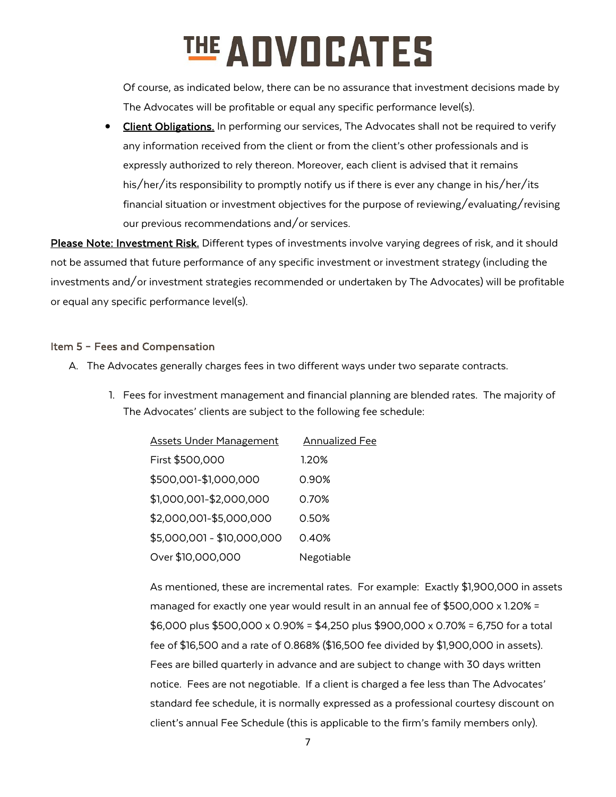Of course, as indicated below, there can be no assurance that investment decisions made by The Advocates will be profitable or equal any specific performance level(s).

• Client Obligations. In performing our services, The Advocates shall not be required to verify any information received from the client or from the client's other professionals and is expressly authorized to rely thereon. Moreover, each client is advised that it remains his/her/its responsibility to promptly notify us if there is ever any change in his/her/its financial situation or investment objectives for the purpose of reviewing/evaluating/revising our previous recommendations and/or services.

<span id="page-9-0"></span>Please Note: Investment Risk. Different types of investments involve varying degrees of risk, and it should not be assumed that future performance of any specific investment or investment strategy (including the investments and/or investment strategies recommended or undertaken by The Advocates) will be profitable or equal any specific performance level(s).

#### Item 5 – Fees and Compensation

- A. The Advocates generally charges fees in two different ways under two separate contracts.
	- 1. Fees for investment management and financial planning are blended rates. The majority of The Advocates' clients are subject to the following fee schedule:

| <b>Assets Under Management</b> | <b>Annualized Fee</b> |
|--------------------------------|-----------------------|
| First \$500,000                | 1.20%                 |
| \$500,001-\$1,000,000          | 0.90%                 |
| \$1,000,001-\$2,000,000        | 0.70%                 |
| \$2,000,001-\$5,000,000        | 0.50%                 |
| \$5,000,001 - \$10,000,000     | 0.40%                 |
| Over \$10,000,000              | Negotiable            |

As mentioned, these are incremental rates. For example: Exactly \$1,900,000 in assets managed for exactly one year would result in an annual fee of \$500,000 x 1.20% = \$6,000 plus \$500,000 x 0.90% = \$4,250 plus \$900,000 x 0.70% = 6,750 for a total fee of \$16,500 and a rate of 0.868% (\$16,500 fee divided by \$1,900,000 in assets). Fees are billed quarterly in advance and are subject to change with 30 days written notice. Fees are not negotiable. If a client is charged a fee less than The Advocates' standard fee schedule, it is normally expressed as a professional courtesy discount on client's annual Fee Schedule (this is applicable to the firm's family members only).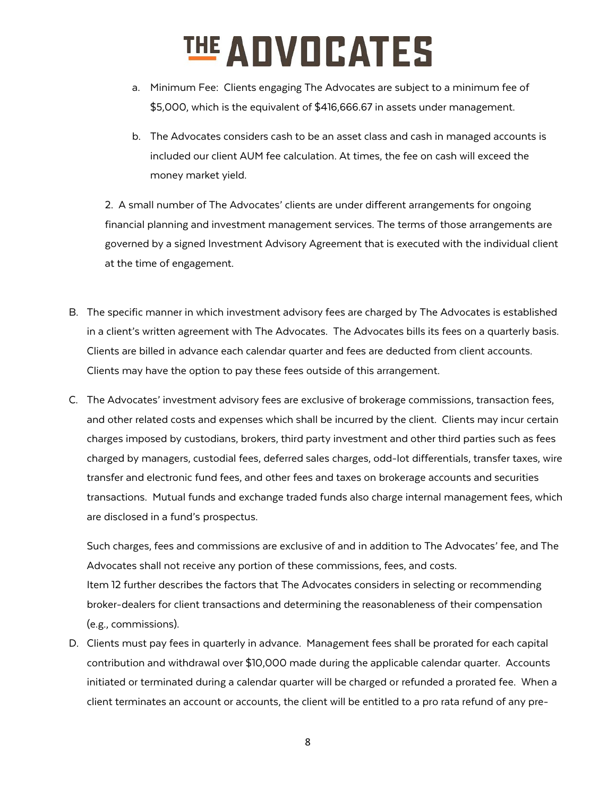- a. Minimum Fee: Clients engaging The Advocates are subject to a minimum fee of \$5,000, which is the equivalent of \$416,666.67 in assets under management.
- b. The Advocates considers cash to be an asset class and cash in managed accounts is included our client AUM fee calculation. At times, the fee on cash will exceed the money market yield.

2. A small number of The Advocates' clients are under different arrangements for ongoing financial planning and investment management services. The terms of those arrangements are governed by a signed Investment Advisory Agreement that is executed with the individual client at the time of engagement.

- B. The specific manner in which investment advisory fees are charged by The Advocates is established in a client's written agreement with The Advocates. The Advocates bills its fees on a quarterly basis. Clients are billed in advance each calendar quarter and fees are deducted from client accounts. Clients may have the option to pay these fees outside of this arrangement.
- C. The Advocates' investment advisory fees are exclusive of brokerage commissions, transaction fees, and other related costs and expenses which shall be incurred by the client. Clients may incur certain charges imposed by custodians, brokers, third party investment and other third parties such as fees charged by managers, custodial fees, deferred sales charges, odd-lot differentials, transfer taxes, wire transfer and electronic fund fees, and other fees and taxes on brokerage accounts and securities transactions. Mutual funds and exchange traded funds also charge internal management fees, which are disclosed in a fund's prospectus.

Such charges, fees and commissions are exclusive of and in addition to The Advocates' fee, and The Advocates shall not receive any portion of these commissions, fees, and costs. Item 12 further describes the factors that The Advocates considers in selecting or recommending broker-dealers for client transactions and determining the reasonableness of their compensation (e.g., commissions).

D. Clients must pay fees in quarterly in advance. Management fees shall be prorated for each capital contribution and withdrawal over \$10,000 made during the applicable calendar quarter. Accounts initiated or terminated during a calendar quarter will be charged or refunded a prorated fee. When a client terminates an account or accounts, the client will be entitled to a pro rata refund of any pre-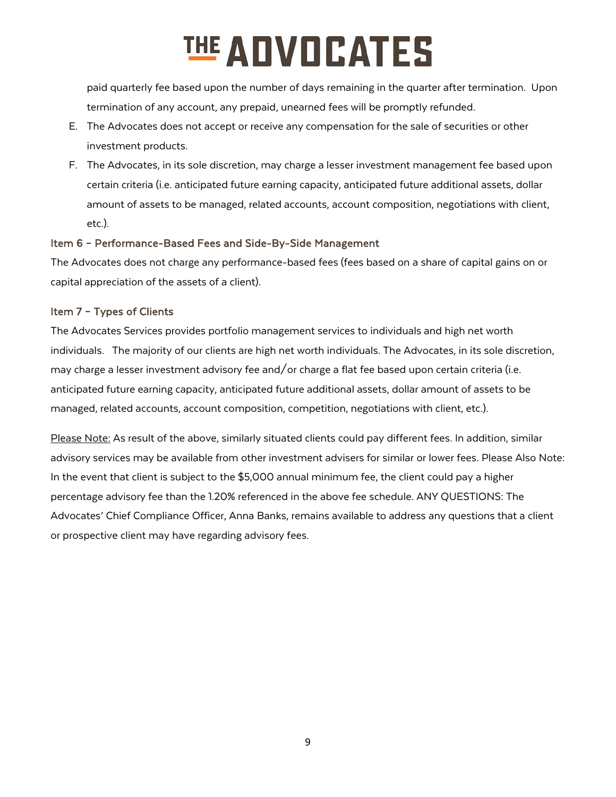paid quarterly fee based upon the number of days remaining in the quarter after termination. Upon termination of any account, any prepaid, unearned fees will be promptly refunded.

- E. The Advocates does not accept or receive any compensation for the sale of securities or other investment products.
- F. The Advocates, in its sole discretion, may charge a lesser investment management fee based upon certain criteria (i.e. anticipated future earning capacity, anticipated future additional assets, dollar amount of assets to be managed, related accounts, account composition, negotiations with client, etc.).

### <span id="page-11-0"></span>Item 6 – Performance-Based Fees and Side-By-Side Management

The Advocates does not charge any performance-based fees (fees based on a share of capital gains on or capital appreciation of the assets of a client).

### <span id="page-11-1"></span>Item 7 – Types of Clients

The Advocates Services provides portfolio management services to individuals and high net worth individuals. The majority of our clients are high net worth individuals. The Advocates, in its sole discretion, may charge a lesser investment advisory fee and/or charge a flat fee based upon certain criteria (i.e. anticipated future earning capacity, anticipated future additional assets, dollar amount of assets to be managed, related accounts, account composition, competition, negotiations with client, etc.).

Please Note: As result of the above, similarly situated clients could pay different fees. In addition, similar advisory services may be available from other investment advisers for similar or lower fees. Please Also Note: In the event that client is subject to the \$5,000 annual minimum fee, the client could pay a higher percentage advisory fee than the 1.20% referenced in the above fee schedule. ANY QUESTIONS: The Advocates' Chief Compliance Officer, Anna Banks, remains available to address any questions that a client or prospective client may have regarding advisory fees.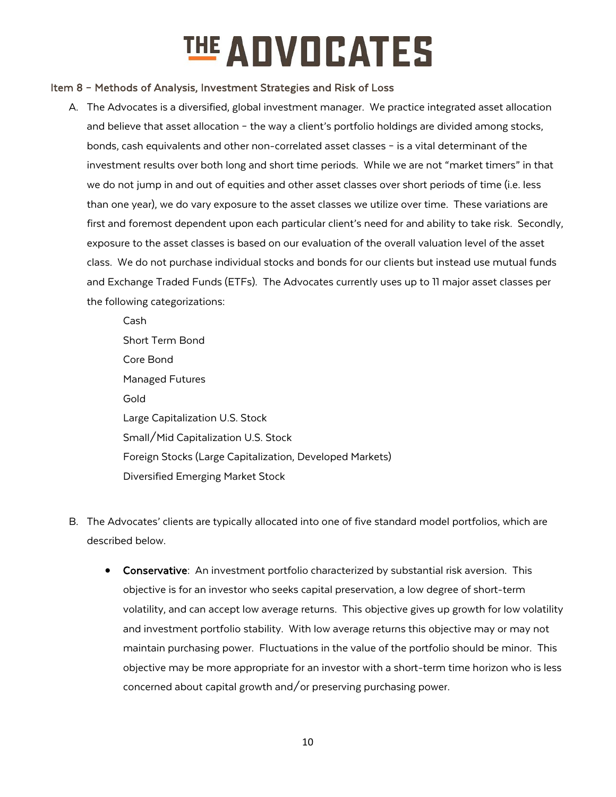#### <span id="page-12-0"></span>Item 8 – Methods of Analysis, Investment Strategies and Risk of Loss

A. The Advocates is a diversified, global investment manager. We practice integrated asset allocation and believe that asset allocation – the way a client's portfolio holdings are divided among stocks, bonds, cash equivalents and other non-correlated asset classes – is a vital determinant of the investment results over both long and short time periods. While we are not "market timers" in that we do not jump in and out of equities and other asset classes over short periods of time (i.e. less than one year), we do vary exposure to the asset classes we utilize over time. These variations are first and foremost dependent upon each particular client's need for and ability to take risk. Secondly, exposure to the asset classes is based on our evaluation of the overall valuation level of the asset class. We do not purchase individual stocks and bonds for our clients but instead use mutual funds and Exchange Traded Funds (ETFs). The Advocates currently uses up to 11 major asset classes per the following categorizations:

> Cash Short Term Bond Core Bond Managed Futures Gold Large Capitalization U.S. Stock Small/Mid Capitalization U.S. Stock Foreign Stocks (Large Capitalization, Developed Markets) Diversified Emerging Market Stock

- B. The Advocates' clients are typically allocated into one of five standard model portfolios, which are described below.
	- Conservative: An investment portfolio characterized by substantial risk aversion. This objective is for an investor who seeks capital preservation, a low degree of short-term volatility, and can accept low average returns. This objective gives up growth for low volatility and investment portfolio stability. With low average returns this objective may or may not maintain purchasing power. Fluctuations in the value of the portfolio should be minor. This objective may be more appropriate for an investor with a short-term time horizon who is less concerned about capital growth and/or preserving purchasing power.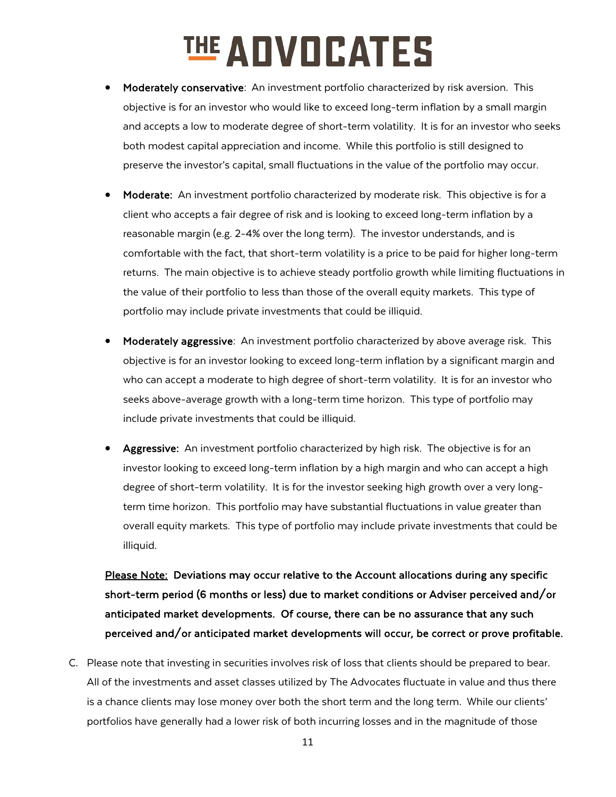- Moderately conservative: An investment portfolio characterized by risk aversion. This objective is for an investor who would like to exceed long-term inflation by a small margin and accepts a low to moderate degree of short-term volatility. It is for an investor who seeks both modest capital appreciation and income. While this portfolio is still designed to preserve the investor's capital, small fluctuations in the value of the portfolio may occur.
- Moderate: An investment portfolio characterized by moderate risk. This objective is for a client who accepts a fair degree of risk and is looking to exceed long-term inflation by a reasonable margin (e.g. 2-4% over the long term). The investor understands, and is comfortable with the fact, that short-term volatility is a price to be paid for higher long-term returns. The main objective is to achieve steady portfolio growth while limiting fluctuations in the value of their portfolio to less than those of the overall equity markets. This type of portfolio may include private investments that could be illiquid.
- Moderately aggressive: An investment portfolio characterized by above average risk. This objective is for an investor looking to exceed long-term inflation by a significant margin and who can accept a moderate to high degree of short-term volatility. It is for an investor who seeks above-average growth with a long-term time horizon. This type of portfolio may include private investments that could be illiquid.
- Aggressive: An investment portfolio characterized by high risk. The objective is for an investor looking to exceed long-term inflation by a high margin and who can accept a high degree of short-term volatility. It is for the investor seeking high growth over a very longterm time horizon. This portfolio may have substantial fluctuations in value greater than overall equity markets. This type of portfolio may include private investments that could be illiquid.

Please Note: Deviations may occur relative to the Account allocations during any specific short-term period (6 months or less) due to market conditions or Adviser perceived and/or anticipated market developments. Of course, there can be no assurance that any such perceived and/or anticipated market developments will occur, be correct or prove profitable.

C. Please note that investing in securities involves risk of loss that clients should be prepared to bear. All of the investments and asset classes utilized by The Advocates fluctuate in value and thus there is a chance clients may lose money over both the short term and the long term. While our clients' portfolios have generally had a lower risk of both incurring losses and in the magnitude of those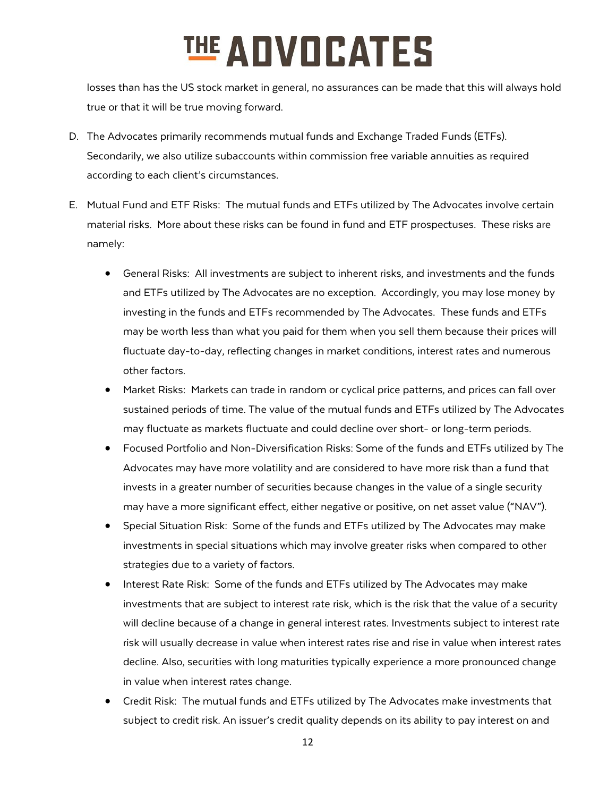losses than has the US stock market in general, no assurances can be made that this will always hold true or that it will be true moving forward.

- D. The Advocates primarily recommends mutual funds and Exchange Traded Funds (ETFs). Secondarily, we also utilize subaccounts within commission free variable annuities as required according to each client's circumstances.
- E. Mutual Fund and ETF Risks: The mutual funds and ETFs utilized by The Advocates involve certain material risks. More about these risks can be found in fund and ETF prospectuses. These risks are namely:
	- General Risks: All investments are subject to inherent risks, and investments and the funds and ETFs utilized by The Advocates are no exception. Accordingly, you may lose money by investing in the funds and ETFs recommended by The Advocates. These funds and ETFs may be worth less than what you paid for them when you sell them because their prices will fluctuate day-to-day, reflecting changes in market conditions, interest rates and numerous other factors.
	- Market Risks: Markets can trade in random or cyclical price patterns, and prices can fall over sustained periods of time. The value of the mutual funds and ETFs utilized by The Advocates may fluctuate as markets fluctuate and could decline over short- or long-term periods.
	- Focused Portfolio and Non-Diversification Risks: Some of the funds and ETFs utilized by The Advocates may have more volatility and are considered to have more risk than a fund that invests in a greater number of securities because changes in the value of a single security may have a more significant effect, either negative or positive, on net asset value ("NAV").
	- Special Situation Risk: Some of the funds and ETFs utilized by The Advocates may make investments in special situations which may involve greater risks when compared to other strategies due to a variety of factors.
	- Interest Rate Risk: Some of the funds and ETFs utilized by The Advocates may make investments that are subject to interest rate risk, which is the risk that the value of a security will decline because of a change in general interest rates. Investments subject to interest rate risk will usually decrease in value when interest rates rise and rise in value when interest rates decline. Also, securities with long maturities typically experience a more pronounced change in value when interest rates change.
	- Credit Risk: The mutual funds and ETFs utilized by The Advocates make investments that subject to credit risk. An issuer's credit quality depends on its ability to pay interest on and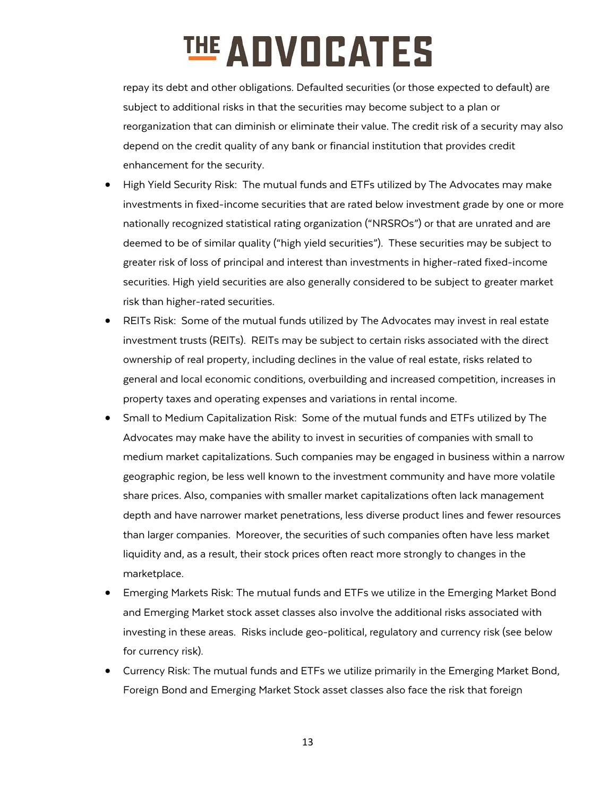repay its debt and other obligations. Defaulted securities (or those expected to default) are subject to additional risks in that the securities may become subject to a plan or reorganization that can diminish or eliminate their value. The credit risk of a security may also depend on the credit quality of any bank or financial institution that provides credit enhancement for the security.

- High Yield Security Risk: The mutual funds and ETFs utilized by The Advocates may make investments in fixed-income securities that are rated below investment grade by one or more nationally recognized statistical rating organization ("NRSROs") or that are unrated and are deemed to be of similar quality ("high yield securities"). These securities may be subject to greater risk of loss of principal and interest than investments in higher-rated fixed-income securities. High yield securities are also generally considered to be subject to greater market risk than higher-rated securities.
- REITs Risk: Some of the mutual funds utilized by The Advocates may invest in real estate investment trusts (REITs). REITs may be subject to certain risks associated with the direct ownership of real property, including declines in the value of real estate, risks related to general and local economic conditions, overbuilding and increased competition, increases in property taxes and operating expenses and variations in rental income.
- Small to Medium Capitalization Risk: Some of the mutual funds and ETFs utilized by The Advocates may make have the ability to invest in securities of companies with small to medium market capitalizations. Such companies may be engaged in business within a narrow geographic region, be less well known to the investment community and have more volatile share prices. Also, companies with smaller market capitalizations often lack management depth and have narrower market penetrations, less diverse product lines and fewer resources than larger companies. Moreover, the securities of such companies often have less market liquidity and, as a result, their stock prices often react more strongly to changes in the marketplace.
- Emerging Markets Risk: The mutual funds and ETFs we utilize in the Emerging Market Bond and Emerging Market stock asset classes also involve the additional risks associated with investing in these areas. Risks include geo-political, regulatory and currency risk (see below for currency risk).
- Currency Risk: The mutual funds and ETFs we utilize primarily in the Emerging Market Bond, Foreign Bond and Emerging Market Stock asset classes also face the risk that foreign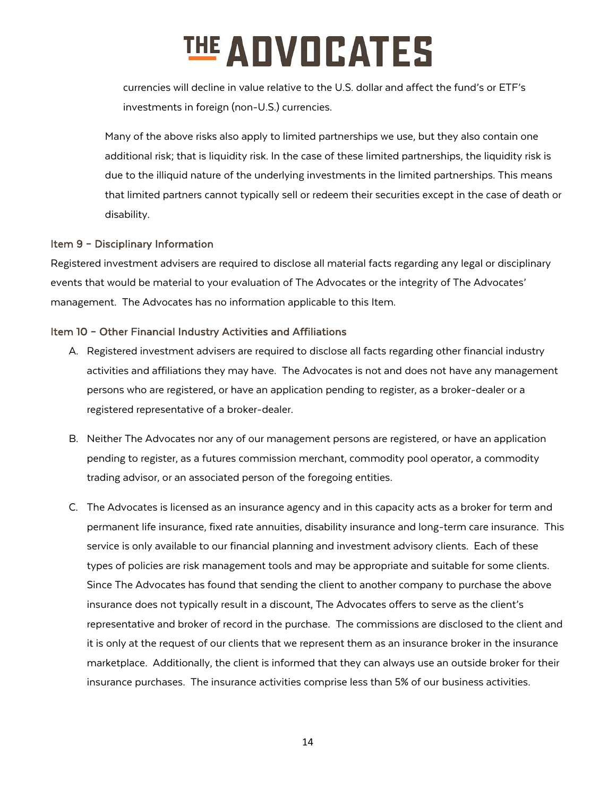currencies will decline in value relative to the U.S. dollar and affect the fund's or ETF's investments in foreign (non-U.S.) currencies.

Many of the above risks also apply to limited partnerships we use, but they also contain one additional risk; that is liquidity risk. In the case of these limited partnerships, the liquidity risk is due to the illiquid nature of the underlying investments in the limited partnerships. This means that limited partners cannot typically sell or redeem their securities except in the case of death or disability.

#### <span id="page-16-0"></span>Item 9 – Disciplinary Information

Registered investment advisers are required to disclose all material facts regarding any legal or disciplinary events that would be material to your evaluation of The Advocates or the integrity of The Advocates' management. The Advocates has no information applicable to this Item.

#### <span id="page-16-1"></span>Item 10 – Other Financial Industry Activities and Affiliations

- A. Registered investment advisers are required to disclose all facts regarding other financial industry activities and affiliations they may have. The Advocates is not and does not have any management persons who are registered, or have an application pending to register, as a broker-dealer or a registered representative of a broker-dealer.
- B. Neither The Advocates nor any of our management persons are registered, or have an application pending to register, as a futures commission merchant, commodity pool operator, a commodity trading advisor, or an associated person of the foregoing entities.
- C. The Advocates is licensed as an insurance agency and in this capacity acts as a broker for term and permanent life insurance, fixed rate annuities, disability insurance and long-term care insurance. This service is only available to our financial planning and investment advisory clients. Each of these types of policies are risk management tools and may be appropriate and suitable for some clients. Since The Advocates has found that sending the client to another company to purchase the above insurance does not typically result in a discount, The Advocates offers to serve as the client's representative and broker of record in the purchase. The commissions are disclosed to the client and it is only at the request of our clients that we represent them as an insurance broker in the insurance marketplace. Additionally, the client is informed that they can always use an outside broker for their insurance purchases. The insurance activities comprise less than 5% of our business activities.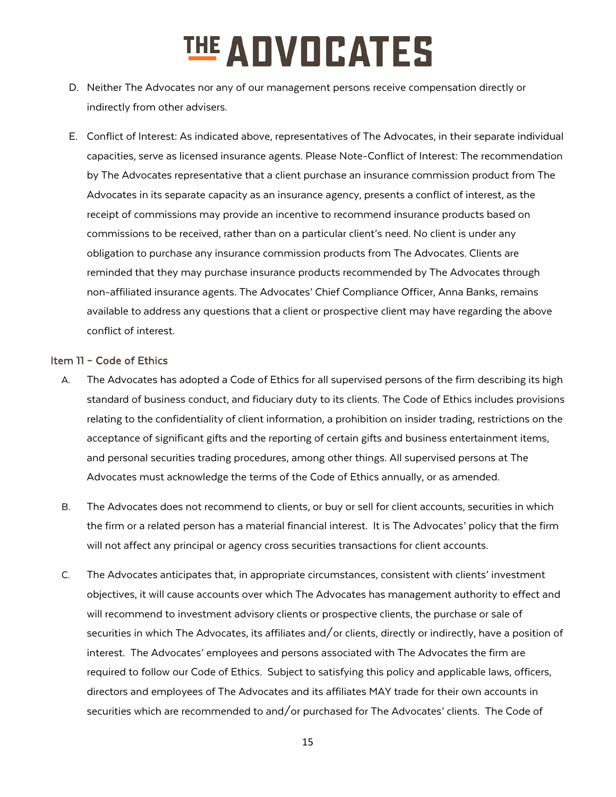- D. Neither The Advocates nor any of our management persons receive compensation directly or indirectly from other advisers.
- E. Conflict of Interest: As indicated above, representatives of The Advocates, in their separate individual capacities, serve as licensed insurance agents. Please Note-Conflict of Interest: The recommendation by The Advocates representative that a client purchase an insurance commission product from The Advocates in its separate capacity as an insurance agency, presents a conflict of interest, as the receipt of commissions may provide an incentive to recommend insurance products based on commissions to be received, rather than on a particular client's need. No client is under any obligation to purchase any insurance commission products from The Advocates. Clients are reminded that they may purchase insurance products recommended by The Advocates through non-affiliated insurance agents. The Advocates' Chief Compliance Officer, Anna Banks, remains available to address any questions that a client or prospective client may have regarding the above conflict of interest.

#### <span id="page-17-0"></span>Item 11 – Code of Ethics

- A. The Advocates has adopted a Code of Ethics for all supervised persons of the firm describing its high standard of business conduct, and fiduciary duty to its clients. The Code of Ethics includes provisions relating to the confidentiality of client information, a prohibition on insider trading, restrictions on the acceptance of significant gifts and the reporting of certain gifts and business entertainment items, and personal securities trading procedures, among other things. All supervised persons at The Advocates must acknowledge the terms of the Code of Ethics annually, or as amended.
- B. The Advocates does not recommend to clients, or buy or sell for client accounts, securities in which the firm or a related person has a material financial interest. It is The Advocates' policy that the firm will not affect any principal or agency cross securities transactions for client accounts.
- C. The Advocates anticipates that, in appropriate circumstances, consistent with clients' investment objectives, it will cause accounts over which The Advocates has management authority to effect and will recommend to investment advisory clients or prospective clients, the purchase or sale of securities in which The Advocates, its affiliates and/or clients, directly or indirectly, have a position of interest. The Advocates' employees and persons associated with The Advocates the firm are required to follow our Code of Ethics. Subject to satisfying this policy and applicable laws, officers, directors and employees of The Advocates and its affiliates MAY trade for their own accounts in securities which are recommended to and/or purchased for The Advocates' clients. The Code of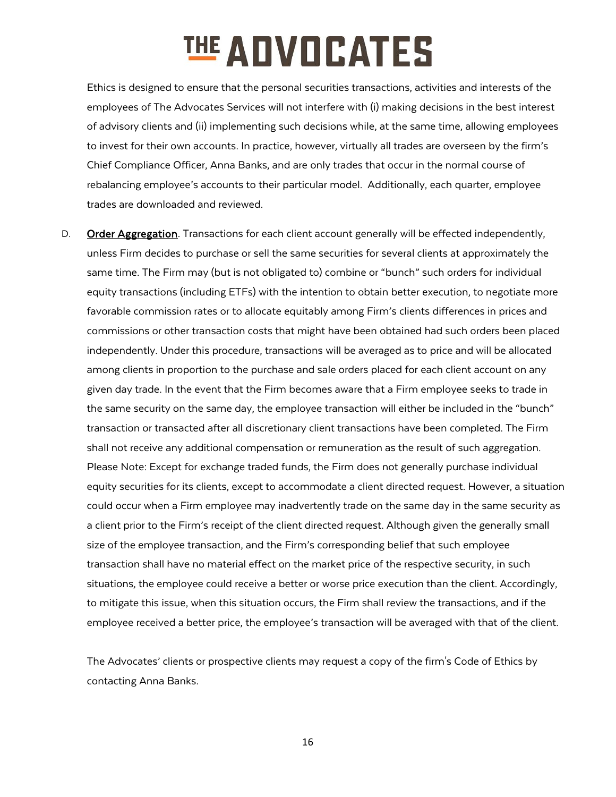Ethics is designed to ensure that the personal securities transactions, activities and interests of the employees of The Advocates Services will not interfere with (i) making decisions in the best interest of advisory clients and (ii) implementing such decisions while, at the same time, allowing employees to invest for their own accounts. In practice, however, virtually all trades are overseen by the firm's Chief Compliance Officer, Anna Banks, and are only trades that occur in the normal course of rebalancing employee's accounts to their particular model. Additionally, each quarter, employee trades are downloaded and reviewed.

D. Order Aggregation. Transactions for each client account generally will be effected independently, unless Firm decides to purchase or sell the same securities for several clients at approximately the same time. The Firm may (but is not obligated to) combine or "bunch" such orders for individual equity transactions (including ETFs) with the intention to obtain better execution, to negotiate more favorable commission rates or to allocate equitably among Firm's clients differences in prices and commissions or other transaction costs that might have been obtained had such orders been placed independently. Under this procedure, transactions will be averaged as to price and will be allocated among clients in proportion to the purchase and sale orders placed for each client account on any given day trade. In the event that the Firm becomes aware that a Firm employee seeks to trade in the same security on the same day, the employee transaction will either be included in the "bunch" transaction or transacted after all discretionary client transactions have been completed. The Firm shall not receive any additional compensation or remuneration as the result of such aggregation. Please Note: Except for exchange traded funds, the Firm does not generally purchase individual equity securities for its clients, except to accommodate a client directed request. However, a situation could occur when a Firm employee may inadvertently trade on the same day in the same security as a client prior to the Firm's receipt of the client directed request. Although given the generally small size of the employee transaction, and the Firm's corresponding belief that such employee transaction shall have no material effect on the market price of the respective security, in such situations, the employee could receive a better or worse price execution than the client. Accordingly, to mitigate this issue, when this situation occurs, the Firm shall review the transactions, and if the employee received a better price, the employee's transaction will be averaged with that of the client.

The Advocates' clients or prospective clients may request a copy of the firm's Code of Ethics by contacting Anna Banks.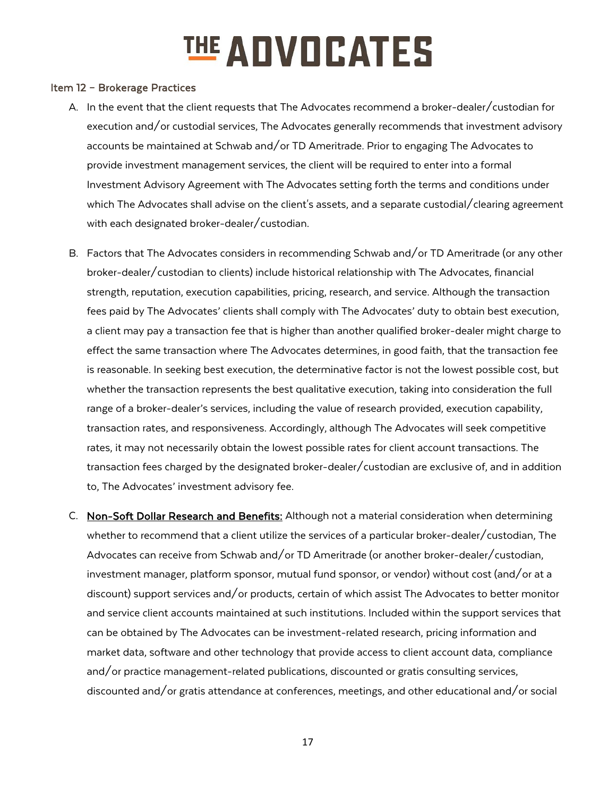#### <span id="page-19-0"></span>Item 12 – Brokerage Practices

- A. In the event that the client requests that The Advocates recommend a broker-dealer/custodian for execution and/or custodial services, The Advocates generally recommends that investment advisory accounts be maintained at Schwab and/or TD Ameritrade. Prior to engaging The Advocates to provide investment management services, the client will be required to enter into a formal Investment Advisory Agreement with The Advocates setting forth the terms and conditions under which The Advocates shall advise on the client's assets, and a separate custodial/clearing agreement with each designated broker-dealer/custodian.
- B. Factors that The Advocates considers in recommending Schwab and/or TD Ameritrade (or any other broker-dealer/custodian to clients) include historical relationship with The Advocates, financial strength, reputation, execution capabilities, pricing, research, and service. Although the transaction fees paid by The Advocates' clients shall comply with The Advocates' duty to obtain best execution, a client may pay a transaction fee that is higher than another qualified broker-dealer might charge to effect the same transaction where The Advocates determines, in good faith, that the transaction fee is reasonable. In seeking best execution, the determinative factor is not the lowest possible cost, but whether the transaction represents the best qualitative execution, taking into consideration the full range of a broker-dealer's services, including the value of research provided, execution capability, transaction rates, and responsiveness. Accordingly, although The Advocates will seek competitive rates, it may not necessarily obtain the lowest possible rates for client account transactions. The transaction fees charged by the designated broker-dealer/custodian are exclusive of, and in addition to, The Advocates' investment advisory fee.
- C. Non-Soft Dollar Research and Benefits: Although not a material consideration when determining whether to recommend that a client utilize the services of a particular broker-dealer/custodian, The Advocates can receive from Schwab and/or TD Ameritrade (or another broker-dealer/custodian, investment manager, platform sponsor, mutual fund sponsor, or vendor) without cost (and/or at a discount) support services and/or products, certain of which assist The Advocates to better monitor and service client accounts maintained at such institutions. Included within the support services that can be obtained by The Advocates can be investment-related research, pricing information and market data, software and other technology that provide access to client account data, compliance and/or practice management-related publications, discounted or gratis consulting services, discounted and/or gratis attendance at conferences, meetings, and other educational and/or social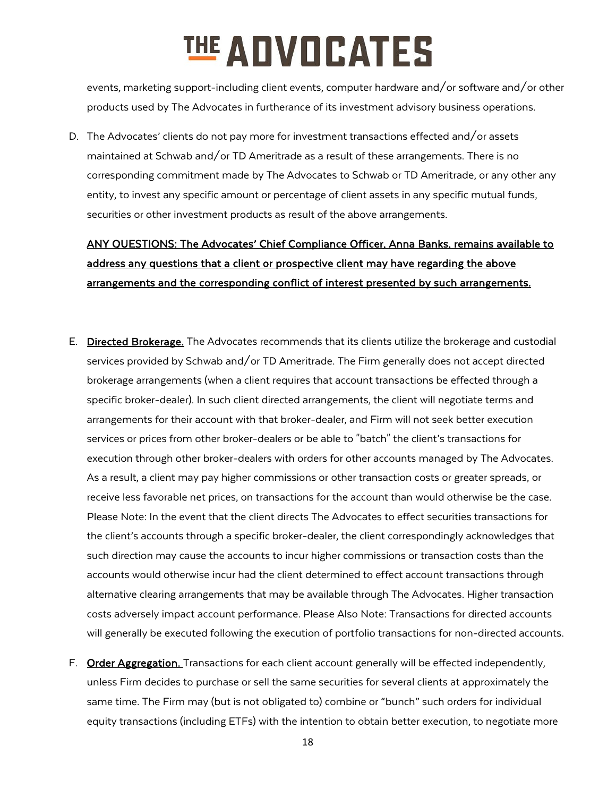events, marketing support-including client events, computer hardware and/or software and/or other products used by The Advocates in furtherance of its investment advisory business operations.

D. The Advocates' clients do not pay more for investment transactions effected and/or assets maintained at Schwab and/or TD Ameritrade as a result of these arrangements. There is no corresponding commitment made by The Advocates to Schwab or TD Ameritrade, or any other any entity, to invest any specific amount or percentage of client assets in any specific mutual funds, securities or other investment products as result of the above arrangements.

ANY QUESTIONS: The Advocates' Chief Compliance Officer, Anna Banks, remains available to address any questions that a client or prospective client may have regarding the above arrangements and the corresponding conflict of interest presented by such arrangements.

- E. Directed Brokerage. The Advocates recommends that its clients utilize the brokerage and custodial services provided by Schwab and/or TD Ameritrade. The Firm generally does not accept directed brokerage arrangements (when a client requires that account transactions be effected through a specific broker-dealer). In such client directed arrangements, the client will negotiate terms and arrangements for their account with that broker-dealer, and Firm will not seek better execution services or prices from other broker-dealers or be able to "batch" the client's transactions for execution through other broker-dealers with orders for other accounts managed by The Advocates. As a result, a client may pay higher commissions or other transaction costs or greater spreads, or receive less favorable net prices, on transactions for the account than would otherwise be the case. Please Note: In the event that the client directs The Advocates to effect securities transactions for the client's accounts through a specific broker-dealer, the client correspondingly acknowledges that such direction may cause the accounts to incur higher commissions or transaction costs than the accounts would otherwise incur had the client determined to effect account transactions through alternative clearing arrangements that may be available through The Advocates. Higher transaction costs adversely impact account performance. Please Also Note: Transactions for directed accounts will generally be executed following the execution of portfolio transactions for non-directed accounts.
- <span id="page-20-0"></span>F. Order Aggregation. Transactions for each client account generally will be effected independently, unless Firm decides to purchase or sell the same securities for several clients at approximately the same time. The Firm may (but is not obligated to) combine or "bunch" such orders for individual equity transactions (including ETFs) with the intention to obtain better execution, to negotiate more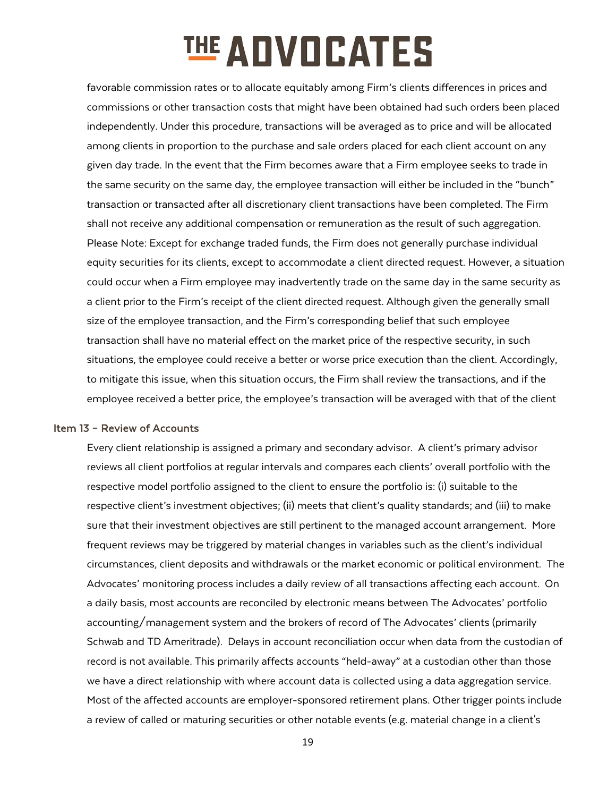favorable commission rates or to allocate equitably among Firm's clients differences in prices and commissions or other transaction costs that might have been obtained had such orders been placed independently. Under this procedure, transactions will be averaged as to price and will be allocated among clients in proportion to the purchase and sale orders placed for each client account on any given day trade. In the event that the Firm becomes aware that a Firm employee seeks to trade in the same security on the same day, the employee transaction will either be included in the "bunch" transaction or transacted after all discretionary client transactions have been completed. The Firm shall not receive any additional compensation or remuneration as the result of such aggregation. Please Note: Except for exchange traded funds, the Firm does not generally purchase individual equity securities for its clients, except to accommodate a client directed request. However, a situation could occur when a Firm employee may inadvertently trade on the same day in the same security as a client prior to the Firm's receipt of the client directed request. Although given the generally small size of the employee transaction, and the Firm's corresponding belief that such employee transaction shall have no material effect on the market price of the respective security, in such situations, the employee could receive a better or worse price execution than the client. Accordingly, to mitigate this issue, when this situation occurs, the Firm shall review the transactions, and if the employee received a better price, the employee's transaction will be averaged with that of the client

#### Item 13 – Review of Accounts

Every client relationship is assigned a primary and secondary advisor. A client's primary advisor reviews all client portfolios at regular intervals and compares each clients' overall portfolio with the respective model portfolio assigned to the client to ensure the portfolio is: (i) suitable to the respective client's investment objectives; (ii) meets that client's quality standards; and (iii) to make sure that their investment objectives are still pertinent to the managed account arrangement. More frequent reviews may be triggered by material changes in variables such as the client's individual circumstances, client deposits and withdrawals or the market economic or political environment. The Advocates' monitoring process includes a daily review of all transactions affecting each account. On a daily basis, most accounts are reconciled by electronic means between The Advocates' portfolio accounting/management system and the brokers of record of The Advocates' clients (primarily Schwab and TD Ameritrade). Delays in account reconciliation occur when data from the custodian of record is not available. This primarily affects accounts "held-away" at a custodian other than those we have a direct relationship with where account data is collected using a data aggregation service. Most of the affected accounts are employer-sponsored retirement plans. Other trigger points include a review of called or maturing securities or other notable events (e.g. material change in a client's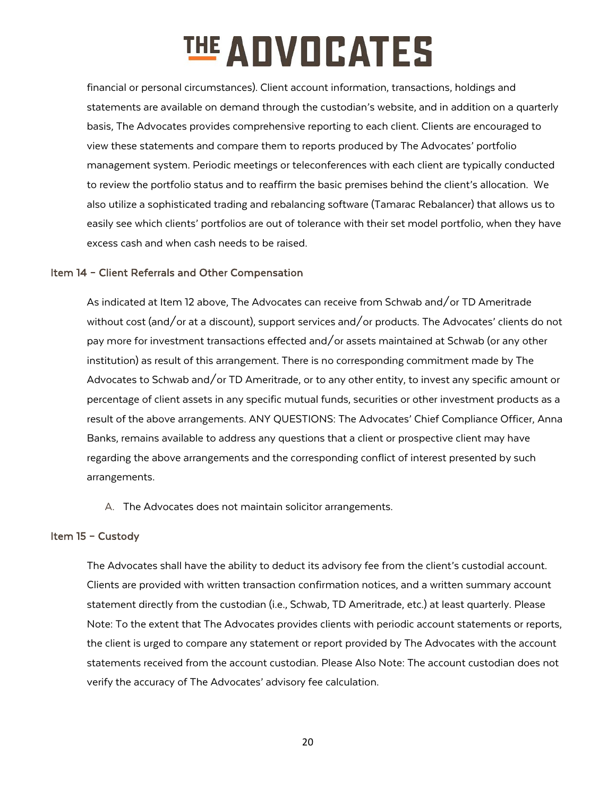financial or personal circumstances). Client account information, transactions, holdings and statements are available on demand through the custodian's website, and in addition on a quarterly basis, The Advocates provides comprehensive reporting to each client. Clients are encouraged to view these statements and compare them to reports produced by The Advocates' portfolio management system. Periodic meetings or teleconferences with each client are typically conducted to review the portfolio status and to reaffirm the basic premises behind the client's allocation. We also utilize a sophisticated trading and rebalancing software (Tamarac Rebalancer) that allows us to easily see which clients' portfolios are out of tolerance with their set model portfolio, when they have excess cash and when cash needs to be raised.

#### Item 14 – Client Referrals and Other Compensation

<span id="page-22-1"></span><span id="page-22-0"></span>As indicated at Item 12 above, The Advocates can receive from Schwab and/or TD Ameritrade without cost (and/or at a discount), support services and/or products. The Advocates' clients do not pay more for investment transactions effected and/or assets maintained at Schwab (or any other institution) as result of this arrangement. There is no corresponding commitment made by The Advocates to Schwab and/or TD Ameritrade, or to any other entity, to invest any specific amount or percentage of client assets in any specific mutual funds, securities or other investment products as a result of the above arrangements. ANY QUESTIONS: The Advocates' Chief Compliance Officer, Anna Banks, remains available to address any questions that a client or prospective client may have regarding the above arrangements and the corresponding conflict of interest presented by such arrangements.

<span id="page-22-2"></span>A. The Advocates does not maintain solicitor arrangements.

#### Item 15 – Custody

The Advocates shall have the ability to deduct its advisory fee from the client's custodial account. Clients are provided with written transaction confirmation notices, and a written summary account statement directly from the custodian (i.e., Schwab, TD Ameritrade, etc.) at least quarterly. Please Note: To the extent that The Advocates provides clients with periodic account statements or reports, the client is urged to compare any statement or report provided by The Advocates with the account statements received from the account custodian. Please Also Note: The account custodian does not verify the accuracy of The Advocates' advisory fee calculation.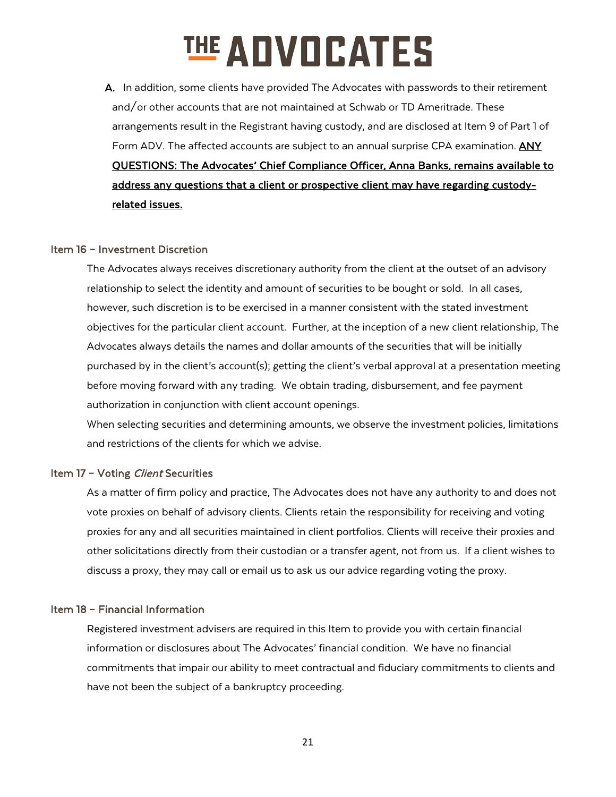A. In addition, some clients have provided The Advocates with passwords to their retirement and/or other accounts that are not maintained at Schwab or TD Ameritrade. These arrangements result in the Registrant having custody, and are disclosed at Item 9 of Part 1 of Form ADV. The affected accounts are subject to an annual surprise CPA examination. **ANY** QUESTIONS: The Advocates' Chief Compliance Officer, Anna Banks, remains available to address any questions that a client or prospective client may have regarding custodyrelated issues.

#### Item 16 – Investment Discretion

The Advocates always receives discretionary authority from the client at the outset of an advisory relationship to select the identity and amount of securities to be bought or sold. In all cases, however, such discretion is to be exercised in a manner consistent with the stated investment objectives for the particular client account. Further, at the inception of a new client relationship, The Advocates always details the names and dollar amounts of the securities that will be initially purchased by in the client's account(s); getting the client's verbal approval at a presentation meeting before moving forward with any trading. We obtain trading, disbursement, and fee payment authorization in conjunction with client account openings.

When selecting securities and determining amounts, we observe the investment policies, limitations and restrictions of the clients for which we advise.

#### <span id="page-23-0"></span>Item 17 - Voting Client Securities

As a matter of firm policy and practice, The Advocates does not have any authority to and does not vote proxies on behalf of advisory clients. Clients retain the responsibility for receiving and voting proxies for any and all securities maintained in client portfolios. Clients will receive their proxies and other solicitations directly from their custodian or a transfer agent, not from us. If a client wishes to discuss a proxy, they may call or email us to ask us our advice regarding voting the proxy.

#### <span id="page-23-1"></span>Item 18 – Financial Information

Registered investment advisers are required in this Item to provide you with certain financial information or disclosures about The Advocates' financial condition. We have no financial commitments that impair our ability to meet contractual and fiduciary commitments to clients and have not been the subject of a bankruptcy proceeding.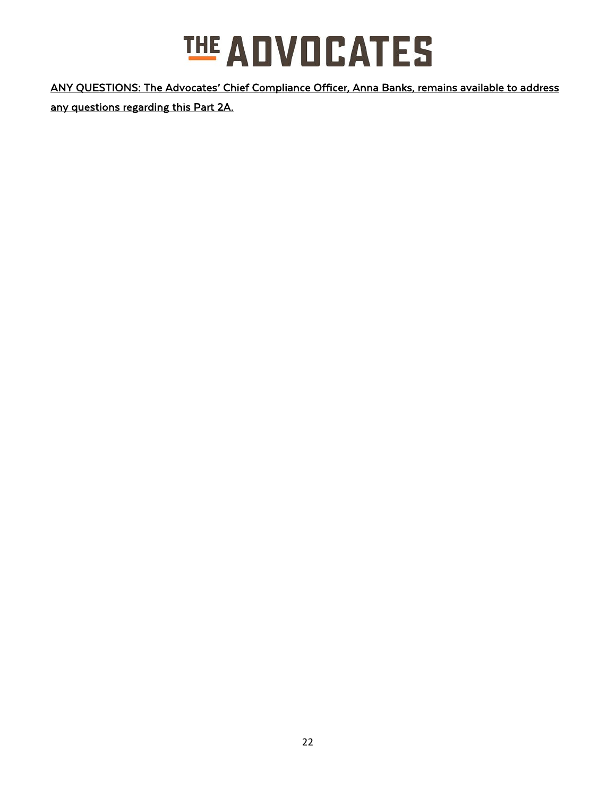

ANY QUESTIONS: The Advocates' Chief Compliance Officer, Anna Banks, remains available to address

any questions regarding this Part 2A.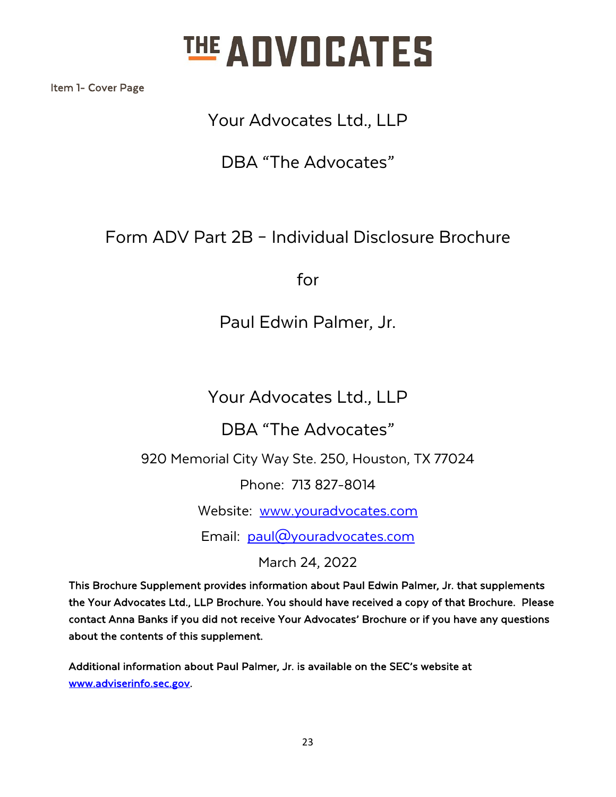Item 1- Cover Page

### Your Advocates Ltd., LLP

DBA "The Advocates"

### Form ADV Part 2B – Individual Disclosure Brochure

for

Paul Edwin Palmer, Jr.

Your Advocates Ltd., LLP

DBA "The Advocates"

920 Memorial City Way Ste. 250, Houston, TX 77024

Phone: 713 827-8014

Website: [www.youradvocates.com](http://www.youradvocates.com/)

Email: [paul@youradvocates.com](mailto:paul@youradvocates.com)

March 24, 2022

This Brochure Supplement provides information about Paul Edwin Palmer, Jr. that supplements the Your Advocates Ltd., LLP Brochure. You should have received a copy of that Brochure. Please contact Anna Banks if you did not receive Your Advocates' Brochure or if you have any questions about the contents of this supplement.

Additional information about Paul Palmer, Jr. is available on the SEC's website at [www.adviserinfo.sec.gov.](http://www.adviserinfo.sec.gov/)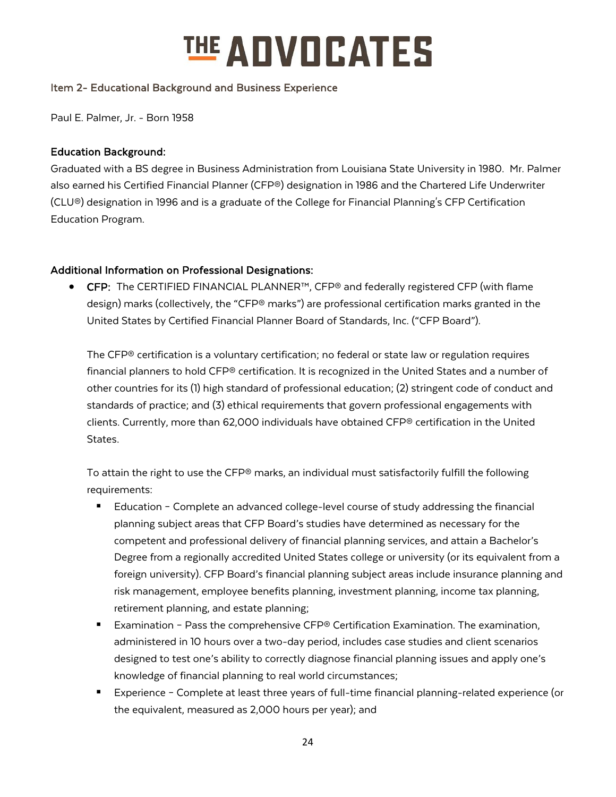#### Item 2- Educational Background and Business Experience

Paul E. Palmer, Jr. - Born 1958

#### Education Background:

Graduated with a BS degree in Business Administration from Louisiana State University in 1980. Mr. Palmer also earned his Certified Financial Planner (CFP®) designation in 1986 and the Chartered Life Underwriter (CLU®) designation in 1996 and is a graduate of the College for Financial Planning's CFP Certification Education Program.

#### Additional Information on Professional Designations:

• CFP: The CERTIFIED FINANCIAL PLANNER™, CFP® and federally registered CFP (with flame design) marks (collectively, the "CFP® marks") are professional certification marks granted in the United States by Certified Financial Planner Board of Standards, Inc. ("CFP Board").

The CFP® certification is a voluntary certification; no federal or state law or regulation requires financial planners to hold CFP® certification. It is recognized in the United States and a number of other countries for its (1) high standard of professional education; (2) stringent code of conduct and standards of practice; and (3) ethical requirements that govern professional engagements with clients. Currently, more than 62,000 individuals have obtained CFP® certification in the United States.

To attain the right to use the CFP® marks, an individual must satisfactorily fulfill the following requirements:

- **E** Education Complete an advanced college-level course of study addressing the financial planning subject areas that CFP Board's studies have determined as necessary for the competent and professional delivery of financial planning services, and attain a Bachelor's Degree from a regionally accredited United States college or university (or its equivalent from a foreign university). CFP Board's financial planning subject areas include insurance planning and risk management, employee benefits planning, investment planning, income tax planning, retirement planning, and estate planning;
- Examination Pass the comprehensive CFP® Certification Examination. The examination, administered in 10 hours over a two-day period, includes case studies and client scenarios designed to test one's ability to correctly diagnose financial planning issues and apply one's knowledge of financial planning to real world circumstances;
- Experience Complete at least three years of full-time financial planning-related experience (or the equivalent, measured as 2,000 hours per year); and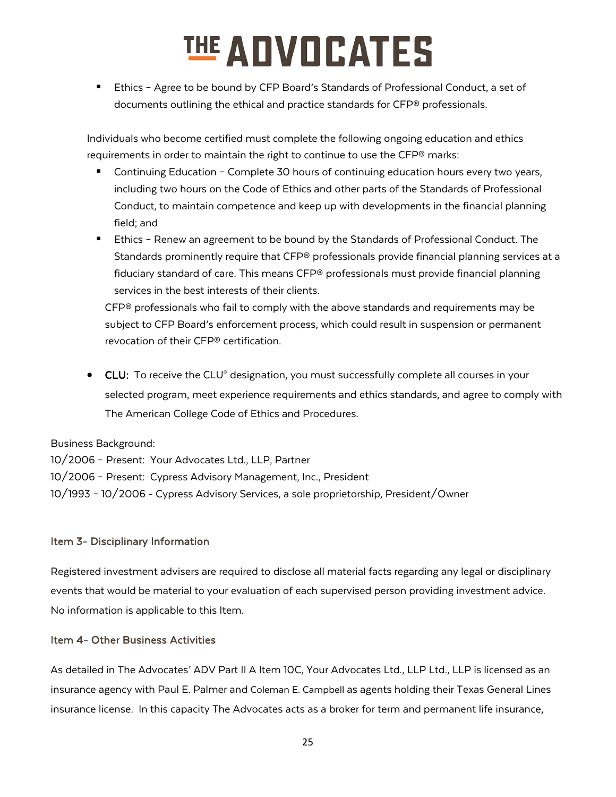Ethics – Agree to be bound by CFP Board's Standards of Professional Conduct, a set of documents outlining the ethical and practice standards for CFP® professionals.

Individuals who become certified must complete the following ongoing education and ethics requirements in order to maintain the right to continue to use the CFP® marks:

- Continuing Education Complete 30 hours of continuing education hours every two years, including two hours on the Code of Ethics and other parts of the Standards of Professional Conduct, to maintain competence and keep up with developments in the financial planning field; and
- Ethics Renew an agreement to be bound by the Standards of Professional Conduct. The Standards prominently require that CFP® professionals provide financial planning services at a fiduciary standard of care. This means CFP® professionals must provide financial planning services in the best interests of their clients.

CFP® professionals who fail to comply with the above standards and requirements may be subject to CFP Board's enforcement process, which could result in suspension or permanent revocation of their CFP® certification.

• CLU: To receive the CLU® designation, you must successfully complete all courses in your selected program, meet experience requirements and ethics standards, and agree to comply with The American College Code of Ethics and Procedures.

Business Background:

10/2006 – Present: Your Advocates Ltd., LLP, Partner

- 10/2006 Present: Cypress Advisory Management, Inc., President
- 10/1993 10/2006 Cypress Advisory Services, a sole proprietorship, President/Owner

#### Item 3- Disciplinary Information

Registered investment advisers are required to disclose all material facts regarding any legal or disciplinary events that would be material to your evaluation of each supervised person providing investment advice. No information is applicable to this Item.

#### Item 4- Other Business Activities

As detailed in The Advocates' ADV Part II A Item 10C, Your Advocates Ltd., LLP Ltd., LLP is licensed as an insurance agency with Paul E. Palmer and Coleman E. Campbell as agents holding their Texas General Lines insurance license. In this capacity The Advocates acts as a broker for term and permanent life insurance,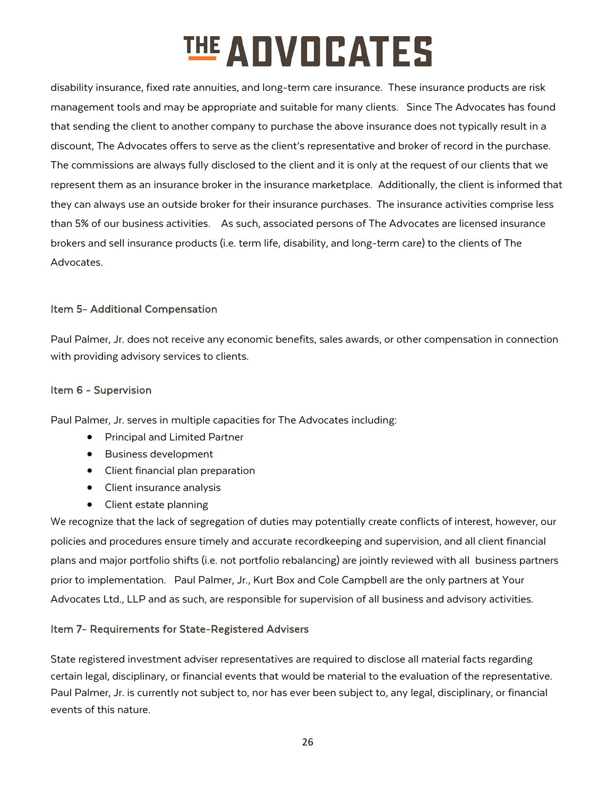disability insurance, fixed rate annuities, and long-term care insurance. These insurance products are risk management tools and may be appropriate and suitable for many clients. Since The Advocates has found that sending the client to another company to purchase the above insurance does not typically result in a discount, The Advocates offers to serve as the client's representative and broker of record in the purchase. The commissions are always fully disclosed to the client and it is only at the request of our clients that we represent them as an insurance broker in the insurance marketplace. Additionally, the client is informed that they can always use an outside broker for their insurance purchases. The insurance activities comprise less than 5% of our business activities. As such, associated persons of The Advocates are licensed insurance brokers and sell insurance products (i.e. term life, disability, and long-term care) to the clients of The Advocates.

#### Item 5- Additional Compensation

Paul Palmer, Jr. does not receive any economic benefits, sales awards, or other compensation in connection with providing advisory services to clients.

#### Item 6 - Supervision

Paul Palmer, Jr. serves in multiple capacities for The Advocates including:

- Principal and Limited Partner
- Business development
- Client financial plan preparation
- Client insurance analysis
- Client estate planning

We recognize that the lack of segregation of duties may potentially create conflicts of interest, however, our policies and procedures ensure timely and accurate recordkeeping and supervision, and all client financial plans and major portfolio shifts (i.e. not portfolio rebalancing) are jointly reviewed with all business partners prior to implementation. Paul Palmer, Jr., Kurt Box and Cole Campbell are the only partners at Your Advocates Ltd., LLP and as such, are responsible for supervision of all business and advisory activities.

#### Item 7- Requirements for State-Registered Advisers

State registered investment adviser representatives are required to disclose all material facts regarding certain legal, disciplinary, or financial events that would be material to the evaluation of the representative. Paul Palmer, Jr. is currently not subject to, nor has ever been subject to, any legal, disciplinary, or financial events of this nature.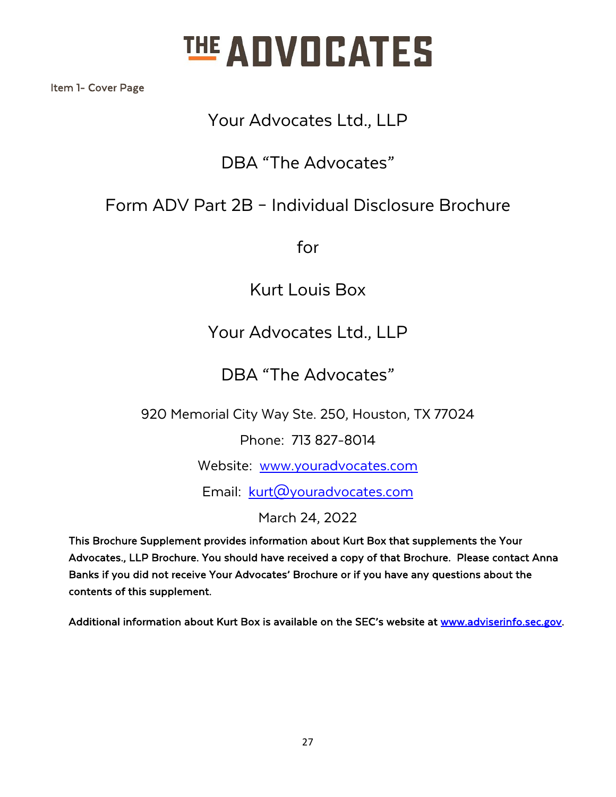Item 1- Cover Page

### Your Advocates Ltd., LLP

### DBA "The Advocates"

### Form ADV Part 2B – Individual Disclosure Brochure

for

Kurt Louis Box

### Your Advocates Ltd., LLP

### DBA "The Advocates"

920 Memorial City Way Ste. 250, Houston, TX 77024

Phone: 713 827-8014

Website: [www.youradvocates.com](http://www.youradvocates.com/)

Email: [kurt@youradvocates.com](mailto:kurt@youradvocates.com)

March 24, 2022

This Brochure Supplement provides information about Kurt Box that supplements the Your Advocates., LLP Brochure. You should have received a copy of that Brochure. Please contact Anna Banks if you did not receive Your Advocates' Brochure or if you have any questions about the contents of this supplement.

Additional information about Kurt Box is available on the SEC's website at [www.adviserinfo.sec.gov.](http://www.adviserinfo.sec.gov/)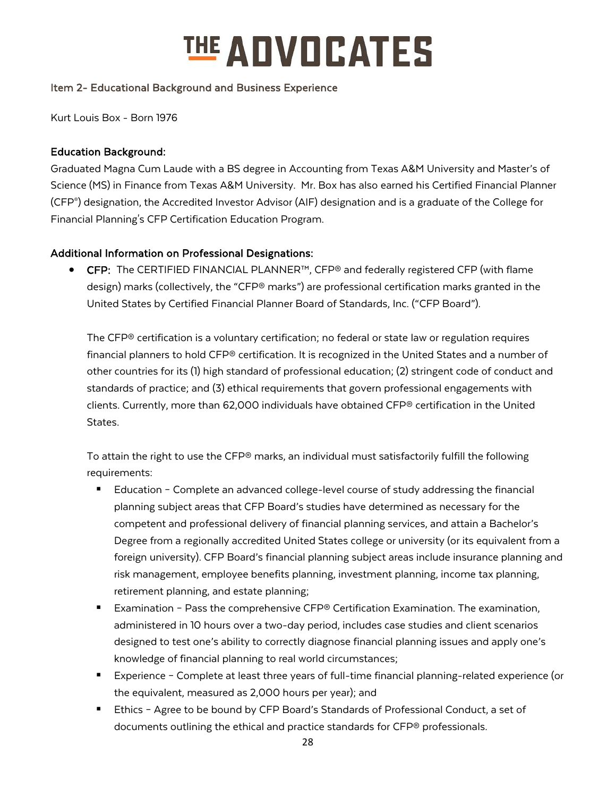#### Item 2- Educational Background and Business Experience

Kurt Louis Box - Born 1976

#### Education Background:

Graduated Magna Cum Laude with a BS degree in Accounting from Texas A&M University and Master's of Science (MS) in Finance from Texas A&M University. Mr. Box has also earned his Certified Financial Planner (CFP® ) designation, the Accredited Investor Advisor (AIF) designation and is a graduate of the College for Financial Planning's CFP Certification Education Program.

#### Additional Information on Professional Designations:

• CFP: The CERTIFIED FINANCIAL PLANNER™, CFP® and federally registered CFP (with flame design) marks (collectively, the "CFP® marks") are professional certification marks granted in the United States by Certified Financial Planner Board of Standards, Inc. ("CFP Board").

The CFP® certification is a voluntary certification; no federal or state law or regulation requires financial planners to hold CFP® certification. It is recognized in the United States and a number of other countries for its (1) high standard of professional education; (2) stringent code of conduct and standards of practice; and (3) ethical requirements that govern professional engagements with clients. Currently, more than 62,000 individuals have obtained CFP® certification in the United States.

To attain the right to use the CFP® marks, an individual must satisfactorily fulfill the following requirements:

- Education Complete an advanced college-level course of study addressing the financial planning subject areas that CFP Board's studies have determined as necessary for the competent and professional delivery of financial planning services, and attain a Bachelor's Degree from a regionally accredited United States college or university (or its equivalent from a foreign university). CFP Board's financial planning subject areas include insurance planning and risk management, employee benefits planning, investment planning, income tax planning, retirement planning, and estate planning;
- **Examination Pass the comprehensive CFP® Certification Examination. The examination,** administered in 10 hours over a two-day period, includes case studies and client scenarios designed to test one's ability to correctly diagnose financial planning issues and apply one's knowledge of financial planning to real world circumstances;
- Experience Complete at least three years of full-time financial planning-related experience (or the equivalent, measured as 2,000 hours per year); and
- Ethics Agree to be bound by CFP Board's Standards of Professional Conduct, a set of documents outlining the ethical and practice standards for CFP® professionals.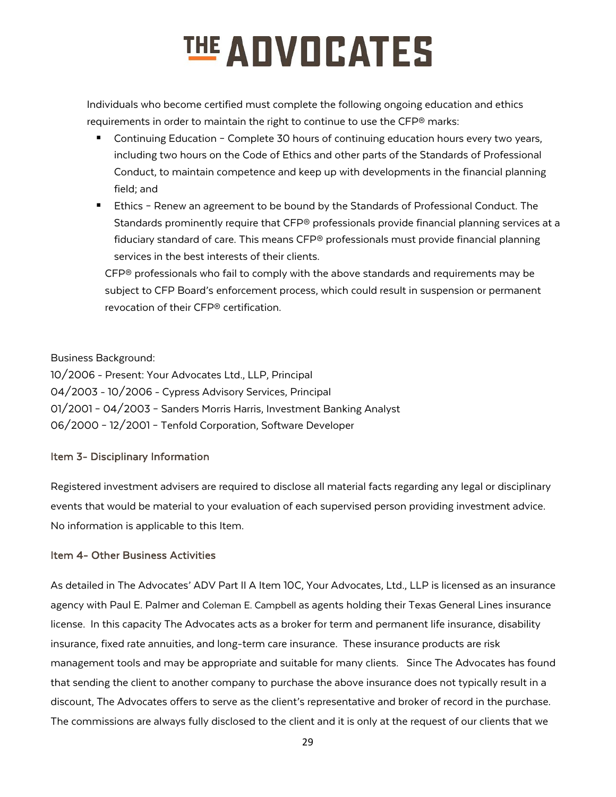Individuals who become certified must complete the following ongoing education and ethics requirements in order to maintain the right to continue to use the CFP® marks:

- Continuing Education Complete 30 hours of continuing education hours every two years, including two hours on the Code of Ethics and other parts of the Standards of Professional Conduct, to maintain competence and keep up with developments in the financial planning field; and
- Ethics Renew an agreement to be bound by the Standards of Professional Conduct. The Standards prominently require that CFP® professionals provide financial planning services at a fiduciary standard of care. This means CFP® professionals must provide financial planning services in the best interests of their clients.

CFP® professionals who fail to comply with the above standards and requirements may be subject to CFP Board's enforcement process, which could result in suspension or permanent revocation of their CFP® certification.

#### Business Background:

10/2006 - Present: Your Advocates Ltd., LLP, Principal 04/2003 - 10/2006 - Cypress Advisory Services, Principal 01/2001 – 04/2003 – Sanders Morris Harris, Investment Banking Analyst 06/2000 – 12/2001 – Tenfold Corporation, Software Developer

### Item 3- Disciplinary Information

Registered investment advisers are required to disclose all material facts regarding any legal or disciplinary events that would be material to your evaluation of each supervised person providing investment advice. No information is applicable to this Item.

### Item 4- Other Business Activities

As detailed in The Advocates' ADV Part II A Item 10C, Your Advocates, Ltd., LLP is licensed as an insurance agency with Paul E. Palmer and Coleman E. Campbell as agents holding their Texas General Lines insurance license. In this capacity The Advocates acts as a broker for term and permanent life insurance, disability insurance, fixed rate annuities, and long-term care insurance. These insurance products are risk management tools and may be appropriate and suitable for many clients. Since The Advocates has found that sending the client to another company to purchase the above insurance does not typically result in a discount, The Advocates offers to serve as the client's representative and broker of record in the purchase. The commissions are always fully disclosed to the client and it is only at the request of our clients that we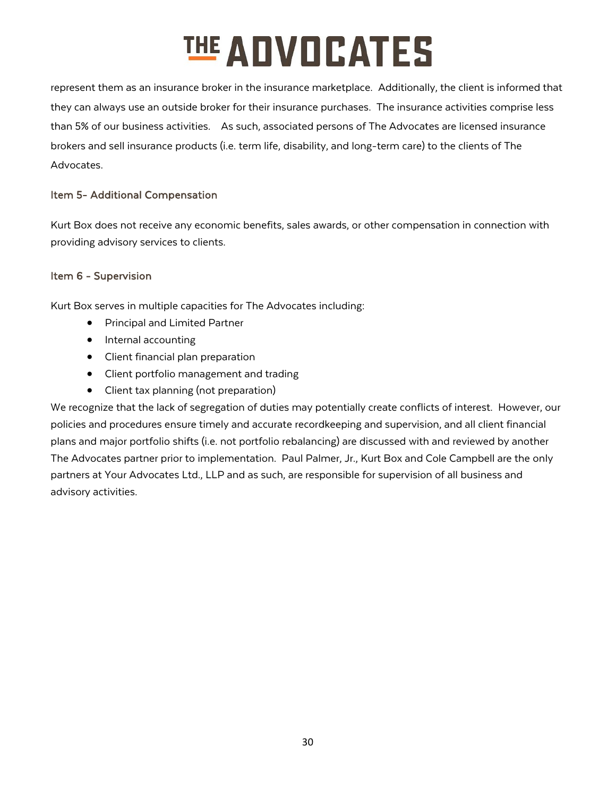represent them as an insurance broker in the insurance marketplace. Additionally, the client is informed that they can always use an outside broker for their insurance purchases. The insurance activities comprise less than 5% of our business activities. As such, associated persons of The Advocates are licensed insurance brokers and sell insurance products (i.e. term life, disability, and long-term care) to the clients of The Advocates.

### Item 5- Additional Compensation

Kurt Box does not receive any economic benefits, sales awards, or other compensation in connection with providing advisory services to clients.

### Item 6 - Supervision

Kurt Box serves in multiple capacities for The Advocates including:

- Principal and Limited Partner
- Internal accounting
- Client financial plan preparation
- Client portfolio management and trading
- Client tax planning (not preparation)

We recognize that the lack of segregation of duties may potentially create conflicts of interest. However, our policies and procedures ensure timely and accurate recordkeeping and supervision, and all client financial plans and major portfolio shifts (i.e. not portfolio rebalancing) are discussed with and reviewed by another The Advocates partner prior to implementation. Paul Palmer, Jr., Kurt Box and Cole Campbell are the only partners at Your Advocates Ltd., LLP and as such, are responsible for supervision of all business and advisory activities.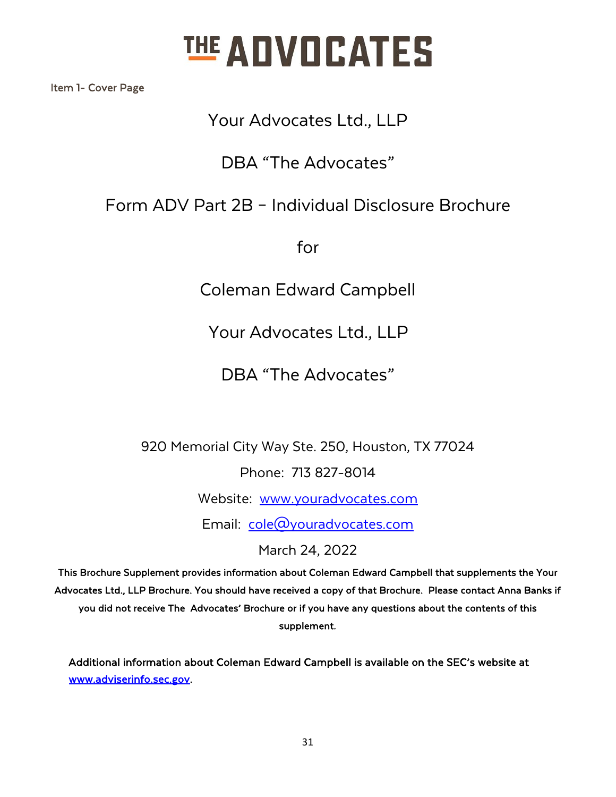Item 1- Cover Page

### Your Advocates Ltd., LLP

DBA "The Advocates"

Form ADV Part 2B – Individual Disclosure Brochure

for

Coleman Edward Campbell

Your Advocates Ltd., LLP

DBA "The Advocates"

920 Memorial City Way Ste. 250, Houston, TX 77024

Phone: 713 827-8014

Website: [www.youradvocates.com](http://www.youradvocates.com/)

Email: [cole@youradvocates.com](mailto:cole@youradvocates.com)

March 24, 2022

This Brochure Supplement provides information about Coleman Edward Campbell that supplements the Your Advocates Ltd., LLP Brochure. You should have received a copy of that Brochure. Please contact Anna Banks if you did not receive The Advocates' Brochure or if you have any questions about the contents of this supplement.

Additional information about Coleman Edward Campbell is available on the SEC's website at [www.adviserinfo.sec.gov.](http://www.adviserinfo.sec.gov/)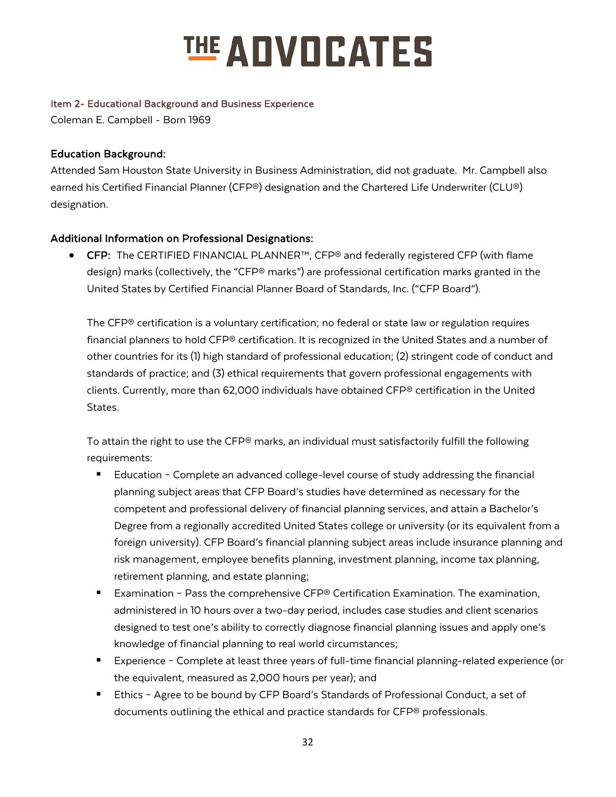#### Item 2- Educational Background and Business Experience

Coleman E. Campbell - Born 1969

### Education Background:

Attended Sam Houston State University in Business Administration, did not graduate. Mr. Campbell also earned his Certified Financial Planner (CFP®) designation and the Chartered Life Underwriter (CLU®) designation.

### Additional Information on Professional Designations:

• CFP: The CERTIFIED FINANCIAL PLANNER™, CFP® and federally registered CFP (with flame design) marks (collectively, the "CFP® marks") are professional certification marks granted in the United States by Certified Financial Planner Board of Standards, Inc. ("CFP Board").

The CFP® certification is a voluntary certification; no federal or state law or regulation requires financial planners to hold CFP® certification. It is recognized in the United States and a number of other countries for its (1) high standard of professional education; (2) stringent code of conduct and standards of practice; and (3) ethical requirements that govern professional engagements with clients. Currently, more than 62,000 individuals have obtained CFP® certification in the United **States** 

To attain the right to use the CFP® marks, an individual must satisfactorily fulfill the following requirements:

- **E** Education Complete an advanced college-level course of study addressing the financial planning subject areas that CFP Board's studies have determined as necessary for the competent and professional delivery of financial planning services, and attain a Bachelor's Degree from a regionally accredited United States college or university (or its equivalent from a foreign university). CFP Board's financial planning subject areas include insurance planning and risk management, employee benefits planning, investment planning, income tax planning, retirement planning, and estate planning;
- Examination Pass the comprehensive CFP® Certification Examination. The examination, administered in 10 hours over a two-day period, includes case studies and client scenarios designed to test one's ability to correctly diagnose financial planning issues and apply one's knowledge of financial planning to real world circumstances;
- Experience Complete at least three years of full-time financial planning-related experience (or the equivalent, measured as 2,000 hours per year); and
- Ethics Agree to be bound by CFP Board's Standards of Professional Conduct, a set of documents outlining the ethical and practice standards for CFP® professionals.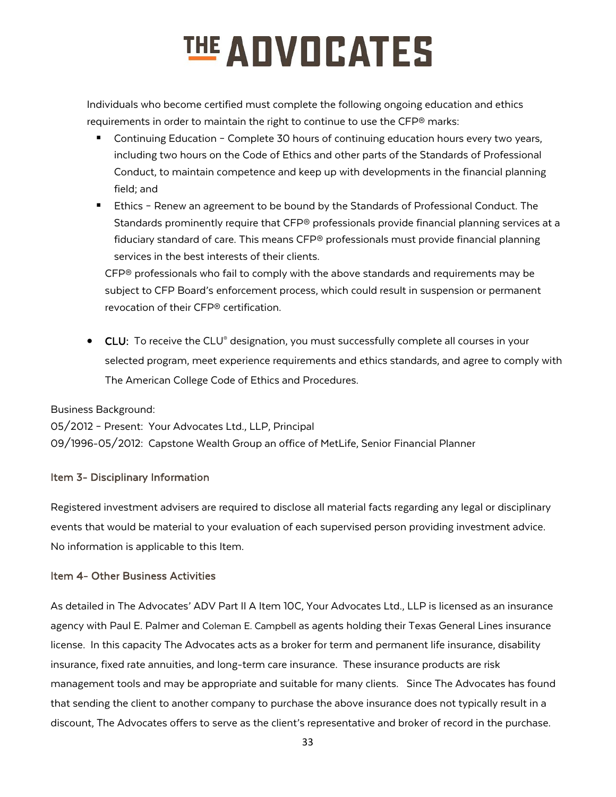Individuals who become certified must complete the following ongoing education and ethics requirements in order to maintain the right to continue to use the CFP® marks:

- Continuing Education Complete 30 hours of continuing education hours every two years, including two hours on the Code of Ethics and other parts of the Standards of Professional Conduct, to maintain competence and keep up with developments in the financial planning field; and
- Ethics Renew an agreement to be bound by the Standards of Professional Conduct. The Standards prominently require that CFP® professionals provide financial planning services at a fiduciary standard of care. This means CFP® professionals must provide financial planning services in the best interests of their clients.

CFP® professionals who fail to comply with the above standards and requirements may be subject to CFP Board's enforcement process, which could result in suspension or permanent revocation of their CFP® certification.

• CLU: To receive the CLU<sup>®</sup> designation, you must successfully complete all courses in your selected program, meet experience requirements and ethics standards, and agree to comply with The American College Code of Ethics and Procedures.

Business Background:

05/2012 – Present: Your Advocates Ltd., LLP, Principal 09/1996-05/2012: Capstone Wealth Group an office of MetLife, Senior Financial Planner

### Item 3- Disciplinary Information

Registered investment advisers are required to disclose all material facts regarding any legal or disciplinary events that would be material to your evaluation of each supervised person providing investment advice. No information is applicable to this Item.

#### Item 4- Other Business Activities

As detailed in The Advocates' ADV Part II A Item 10C, Your Advocates Ltd., LLP is licensed as an insurance agency with Paul E. Palmer and Coleman E. Campbell as agents holding their Texas General Lines insurance license. In this capacity The Advocates acts as a broker for term and permanent life insurance, disability insurance, fixed rate annuities, and long-term care insurance. These insurance products are risk management tools and may be appropriate and suitable for many clients. Since The Advocates has found that sending the client to another company to purchase the above insurance does not typically result in a discount, The Advocates offers to serve as the client's representative and broker of record in the purchase.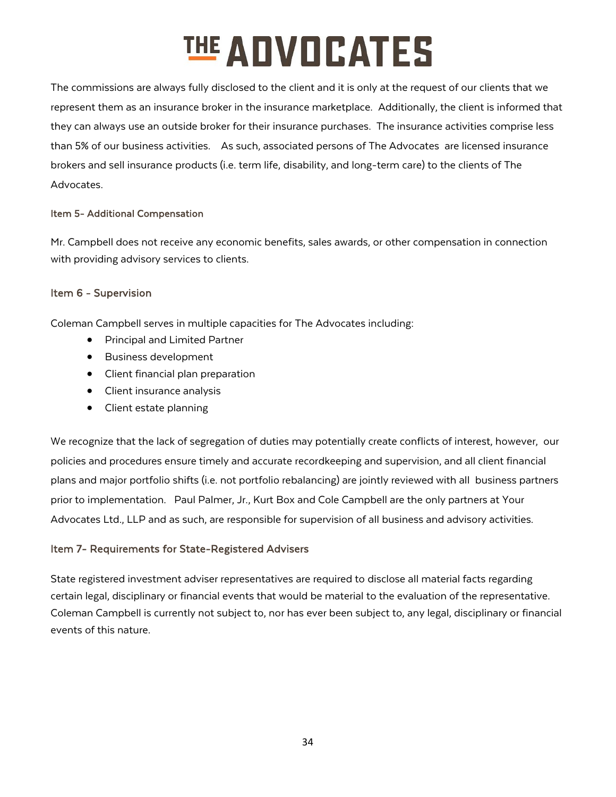The commissions are always fully disclosed to the client and it is only at the request of our clients that we represent them as an insurance broker in the insurance marketplace. Additionally, the client is informed that they can always use an outside broker for their insurance purchases. The insurance activities comprise less than 5% of our business activities. As such, associated persons of The Advocates are licensed insurance brokers and sell insurance products (i.e. term life, disability, and long-term care) to the clients of The Advocates.

#### Item 5- Additional Compensation

Mr. Campbell does not receive any economic benefits, sales awards, or other compensation in connection with providing advisory services to clients.

#### Item 6 - Supervision

Coleman Campbell serves in multiple capacities for The Advocates including:

- Principal and Limited Partner
- Business development
- Client financial plan preparation
- Client insurance analysis
- Client estate planning

We recognize that the lack of segregation of duties may potentially create conflicts of interest, however, our policies and procedures ensure timely and accurate recordkeeping and supervision, and all client financial plans and major portfolio shifts (i.e. not portfolio rebalancing) are jointly reviewed with all business partners prior to implementation. Paul Palmer, Jr., Kurt Box and Cole Campbell are the only partners at Your Advocates Ltd., LLP and as such, are responsible for supervision of all business and advisory activities.

#### Item 7- Requirements for State-Registered Advisers

State registered investment adviser representatives are required to disclose all material facts regarding certain legal, disciplinary or financial events that would be material to the evaluation of the representative. Coleman Campbell is currently not subject to, nor has ever been subject to, any legal, disciplinary or financial events of this nature.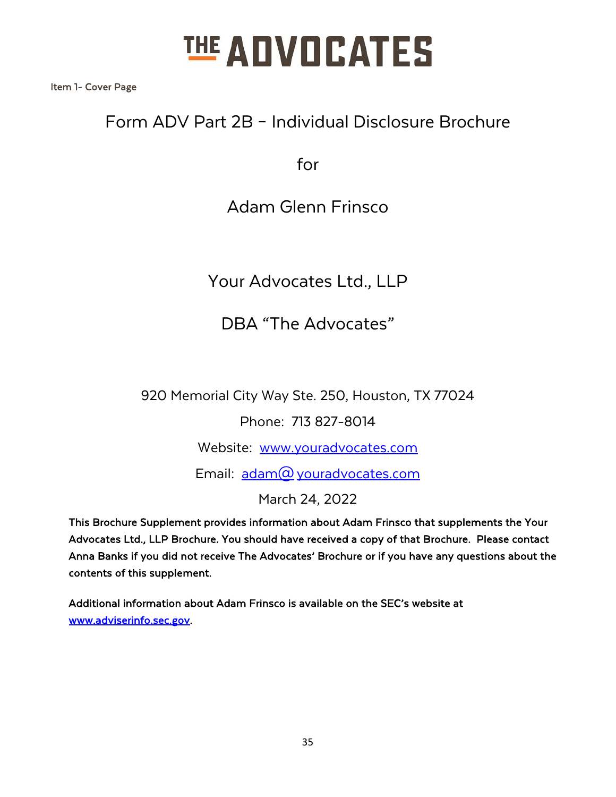Item 1- Cover Page

### Form ADV Part 2B – Individual Disclosure Brochure

for

### Adam Glenn Frinsco

Your Advocates Ltd., LLP

DBA "The Advocates"

920 Memorial City Way Ste. 250, Houston, TX 77024

Phone: 713 827-8014

Website: [www.youradvocates.com](http://www.youradvocates.com/)

Email: [adam@youradvocates.com](mailto:adam@cypressadvisory.com)

March 24, 2022

This Brochure Supplement provides information about Adam Frinsco that supplements the Your Advocates Ltd., LLP Brochure. You should have received a copy of that Brochure. Please contact Anna Banks if you did not receive The Advocates' Brochure or if you have any questions about the contents of this supplement.

Additional information about Adam Frinsco is available on the SEC's website at [www.adviserinfo.sec.gov.](http://www.adviserinfo.sec.gov/)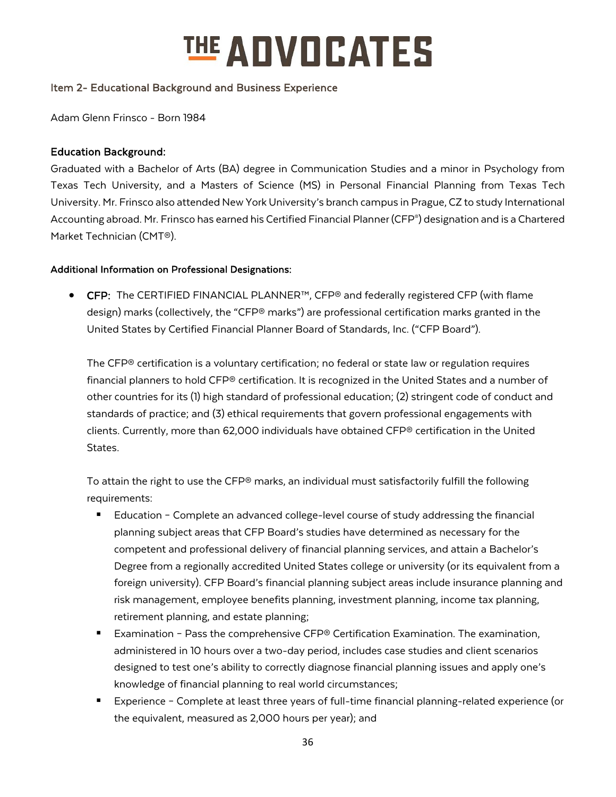#### Item 2- Educational Background and Business Experience

Adam Glenn Frinsco - Born 1984

#### Education Background:

Graduated with a Bachelor of Arts (BA) degree in Communication Studies and a minor in Psychology from Texas Tech University, and a Masters of Science (MS) in Personal Financial Planning from Texas Tech University. Mr. Frinsco also attended New York University's branch campus in Prague, CZ to study International Accounting abroad. Mr. Frinsco has earned his Certified Financial Planner (CFP®) designation and is a Chartered Market Technician (CMT®).

#### Additional Information on Professional Designations:

• CFP: The CERTIFIED FINANCIAL PLANNER™, CFP® and federally registered CFP (with flame design) marks (collectively, the "CFP® marks") are professional certification marks granted in the United States by Certified Financial Planner Board of Standards, Inc. ("CFP Board").

The CFP® certification is a voluntary certification; no federal or state law or regulation requires financial planners to hold CFP® certification. It is recognized in the United States and a number of other countries for its (1) high standard of professional education; (2) stringent code of conduct and standards of practice; and (3) ethical requirements that govern professional engagements with clients. Currently, more than 62,000 individuals have obtained CFP® certification in the United States.

To attain the right to use the CFP® marks, an individual must satisfactorily fulfill the following requirements:

- **E** Education Complete an advanced college-level course of study addressing the financial planning subject areas that CFP Board's studies have determined as necessary for the competent and professional delivery of financial planning services, and attain a Bachelor's Degree from a regionally accredited United States college or university (or its equivalent from a foreign university). CFP Board's financial planning subject areas include insurance planning and risk management, employee benefits planning, investment planning, income tax planning, retirement planning, and estate planning;
- Examination Pass the comprehensive CFP® Certification Examination. The examination, administered in 10 hours over a two-day period, includes case studies and client scenarios designed to test one's ability to correctly diagnose financial planning issues and apply one's knowledge of financial planning to real world circumstances;
- Experience Complete at least three years of full-time financial planning-related experience (or the equivalent, measured as 2,000 hours per year); and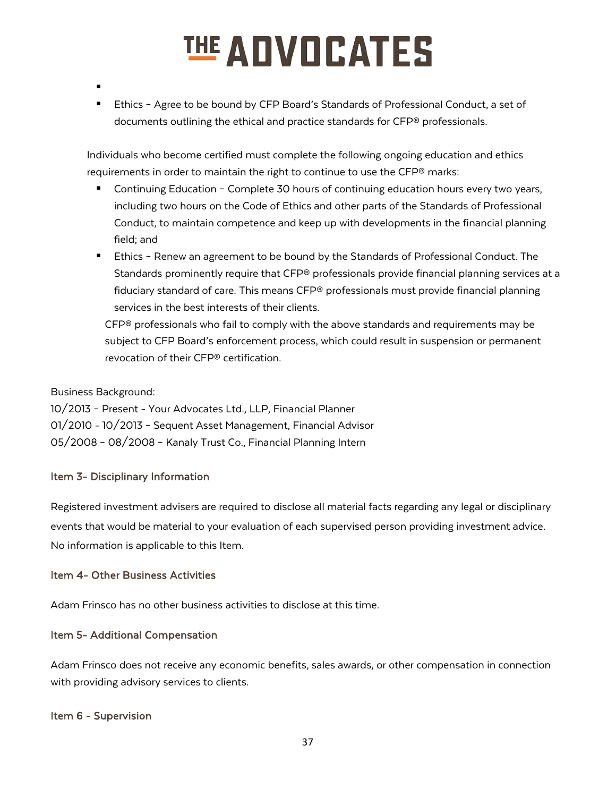- $\blacksquare$
- **Ethics Agree to be bound by CFP Board's Standards of Professional Conduct, a set of** documents outlining the ethical and practice standards for CFP® professionals.

Individuals who become certified must complete the following ongoing education and ethics requirements in order to maintain the right to continue to use the CFP® marks:

- Continuing Education Complete 30 hours of continuing education hours every two years, including two hours on the Code of Ethics and other parts of the Standards of Professional Conduct, to maintain competence and keep up with developments in the financial planning field; and
- Ethics Renew an agreement to be bound by the Standards of Professional Conduct. The Standards prominently require that CFP® professionals provide financial planning services at a fiduciary standard of care. This means CFP® professionals must provide financial planning services in the best interests of their clients.

CFP® professionals who fail to comply with the above standards and requirements may be subject to CFP Board's enforcement process, which could result in suspension or permanent revocation of their CFP® certification.

### Business Background:

10/2013 – Present - Your Advocates Ltd., LLP, Financial Planner 01/2010 - 10/2013 – Sequent Asset Management, Financial Advisor 05/2008 – 08/2008 – Kanaly Trust Co., Financial Planning Intern

### Item 3- Disciplinary Information

Registered investment advisers are required to disclose all material facts regarding any legal or disciplinary events that would be material to your evaluation of each supervised person providing investment advice. No information is applicable to this Item.

### Item 4- Other Business Activities

Adam Frinsco has no other business activities to disclose at this time.

### Item 5- Additional Compensation

Adam Frinsco does not receive any economic benefits, sales awards, or other compensation in connection with providing advisory services to clients.

### Item 6 - Supervision